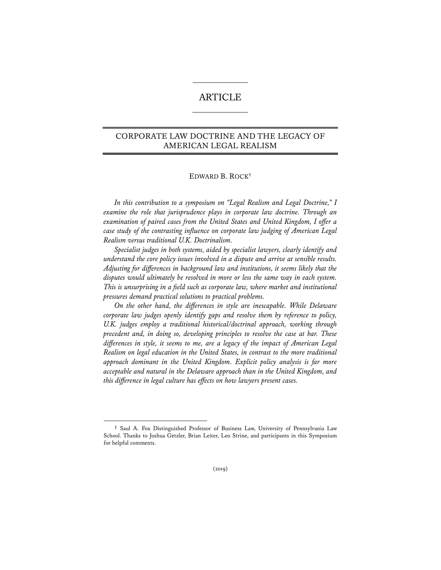# ARTICLE

## CORPORATE LAW DOCTRINE AND THE LEGACY OF AMERICAN LEGAL REALISM

### EDWARD B. ROCK**†**

*In this contribution to a symposium on "Legal Realism and Legal Doctrine," I examine the role that jurisprudence plays in corporate law doctrine. Through an examination of paired cases from the United States and United Kingdom, I offer a case study of the contrasting influence on corporate law judging of American Legal Realism versus traditional U.K. Doctrinalism.* 

*Specialist judges in both systems, aided by specialist lawyers, clearly identify and understand the core policy issues involved in a dispute and arrive at sensible results. Adjusting for differences in background law and institutions, it seems likely that the disputes would ultimately be resolved in more or less the same way in each system. This is unsurprising in a field such as corporate law, where market and institutional pressures demand practical solutions to practical problems.* 

*On the other hand, the differences in style are inescapable. While Delaware corporate law judges openly identify gaps and resolve them by reference to policy,*  U.K. judges employ a traditional historical/doctrinal approach, working through *precedent and, in doing so, developing principles to resolve the case at bar. These differences in style, it seems to me, are a legacy of the impact of American Legal Realism on legal education in the United States, in contrast to the more traditional approach dominant in the United Kingdom. Explicit policy analysis is far more acceptable and natural in the Delaware approach than in the United Kingdom, and this difference in legal culture has effects on how lawyers present cases.* 

**†** Saul A. Fox Distinguished Professor of Business Law, University of Pennsylvania Law School. Thanks to Joshua Getzler, Brian Leiter, Leo Strine, and participants in this Symposium for helpful comments.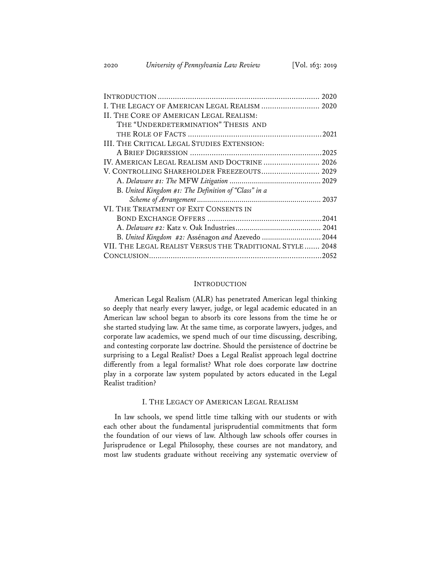| I. THE LEGACY OF AMERICAN LEGAL REALISM  2020             |  |
|-----------------------------------------------------------|--|
| II. THE CORE OF AMERICAN LEGAL REALISM:                   |  |
| THE "UNDERDETERMINATION" THESIS AND                       |  |
|                                                           |  |
| III. THE CRITICAL LEGAL STUDIES EXTENSION:                |  |
|                                                           |  |
| IV. AMERICAN LEGAL REALISM AND DOCTRINE  2026             |  |
| V. CONTROLLING SHAREHOLDER FREEZEOUTS 2029                |  |
|                                                           |  |
| B. United Kingdom #1: The Definition of "Class" in a      |  |
|                                                           |  |
| VI. THE TREATMENT OF EXIT CONSENTS IN                     |  |
|                                                           |  |
|                                                           |  |
| B. United Kingdom #2: Assénagon and Azevedo  2044         |  |
| VII. THE LEGAL REALIST VERSUS THE TRADITIONAL STYLE  2048 |  |
|                                                           |  |

#### INTRODUCTION

American Legal Realism (ALR) has penetrated American legal thinking so deeply that nearly every lawyer, judge, or legal academic educated in an American law school began to absorb its core lessons from the time he or she started studying law. At the same time, as corporate lawyers, judges, and corporate law academics, we spend much of our time discussing, describing, and contesting corporate law doctrine. Should the persistence of doctrine be surprising to a Legal Realist? Does a Legal Realist approach legal doctrine differently from a legal formalist? What role does corporate law doctrine play in a corporate law system populated by actors educated in the Legal Realist tradition?

### I. THE LEGACY OF AMERICAN LEGAL REALISM

In law schools, we spend little time talking with our students or with each other about the fundamental jurisprudential commitments that form the foundation of our views of law. Although law schools offer courses in Jurisprudence or Legal Philosophy, these courses are not mandatory, and most law students graduate without receiving any systematic overview of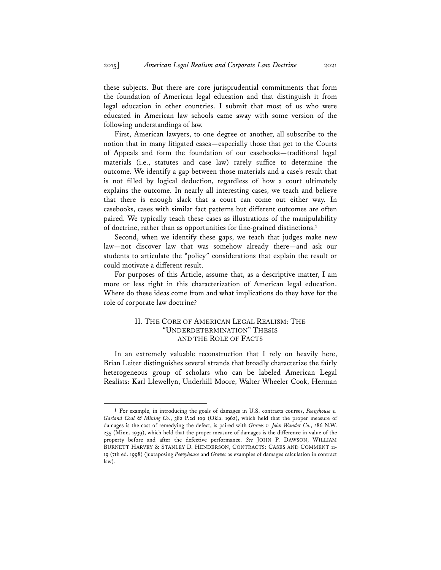these subjects. But there are core jurisprudential commitments that form the foundation of American legal education and that distinguish it from legal education in other countries. I submit that most of us who were educated in American law schools came away with some version of the following understandings of law.

First, American lawyers, to one degree or another, all subscribe to the notion that in many litigated cases—especially those that get to the Courts of Appeals and form the foundation of our casebooks—traditional legal materials (i.e., statutes and case law) rarely suffice to determine the outcome. We identify a gap between those materials and a case's result that is not filled by logical deduction, regardless of how a court ultimately explains the outcome. In nearly all interesting cases, we teach and believe that there is enough slack that a court can come out either way. In casebooks, cases with similar fact patterns but different outcomes are often paired. We typically teach these cases as illustrations of the manipulability of doctrine, rather than as opportunities for fine-grained distinctions.**<sup>1</sup>**

Second, when we identify these gaps, we teach that judges make new law—not discover law that was somehow already there—and ask our students to articulate the "policy" considerations that explain the result or could motivate a different result.

For purposes of this Article, assume that, as a descriptive matter, I am more or less right in this characterization of American legal education. Where do these ideas come from and what implications do they have for the role of corporate law doctrine?

## II. THE CORE OF AMERICAN LEGAL REALISM: THE "UNDERDETERMINATION" THESIS AND THE ROLE OF FACTS

In an extremely valuable reconstruction that I rely on heavily here, Brian Leiter distinguishes several strands that broadly characterize the fairly heterogeneous group of scholars who can be labeled American Legal Realists: Karl Llewellyn, Underhill Moore, Walter Wheeler Cook, Herman

**<sup>1</sup>** For example, in introducing the goals of damages in U.S. contracts courses, *Peevyhouse v. Garland Coal & Mining Co.*, 382 P.2d 109 (Okla. 1962), which held that the proper measure of damages is the cost of remedying the defect, is paired with *Groves v. John Wunder Co.*, 286 N.W. 235 (Minn. 1939), which held that the proper measure of damages is the difference in value of the property before and after the defective performance. *See* JOHN P. DAWSON, WILLIAM BURNETT HARVEY & STANLEY D. HENDERSON, CONTRACTS: CASES AND COMMENT 11- 19 (7th ed. 1998) (juxtaposing *Peevyhouse* and *Groves* as examples of damages calculation in contract law).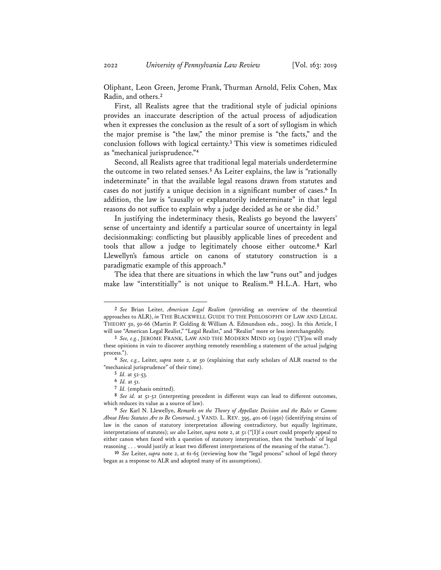Oliphant, Leon Green, Jerome Frank, Thurman Arnold, Felix Cohen, Max Radin, and others.**<sup>2</sup>**

First, all Realists agree that the traditional style of judicial opinions provides an inaccurate description of the actual process of adjudication when it expresses the conclusion as the result of a sort of syllogism in which the major premise is "the law," the minor premise is "the facts," and the conclusion follows with logical certainty.**<sup>3</sup>** This view is sometimes ridiculed as "mechanical jurisprudence."**<sup>4</sup>**

Second, all Realists agree that traditional legal materials underdetermine the outcome in two related senses.**<sup>5</sup>** As Leiter explains, the law is "rationally indeterminate" in that the available legal reasons drawn from statutes and cases do not justify a unique decision in a significant number of cases.**<sup>6</sup>** In addition, the law is "causally or explanatorily indeterminate" in that legal reasons do not suffice to explain why a judge decided as he or she did.**<sup>7</sup>**

In justifying the indeterminacy thesis, Realists go beyond the lawyers' sense of uncertainty and identify a particular source of uncertainty in legal decisionmaking: conflicting but plausibly applicable lines of precedent and tools that allow a judge to legitimately choose either outcome.**<sup>8</sup>** Karl Llewellyn's famous article on canons of statutory construction is a paradigmatic example of this approach.**<sup>9</sup>**

The idea that there are situations in which the law "runs out" and judges make law "interstitially" is not unique to Realism.**<sup>10</sup>** H.L.A. Hart, who

**<sup>2</sup>** *See* Brian Leiter, *American Legal Realism* (providing an overview of the theoretical approaches to ALR), *in* THE BLACKWELL GUIDE TO THE PHILOSOPHY OF LAW AND LEGAL THEORY 50, 50-66 (Martin P. Golding & William A. Edmundson eds., 2005). In this Article, I will use "American Legal Realist," "Legal Realist," and "Realist" more or less interchangeably.

**<sup>3</sup>** *See, e.g.*, JEROME FRANK, LAW AND THE MODERN MIND 103 (1930) ("[Y]ou will study these opinions in vain to discover anything remotely resembling a statement of the actual judging process."). **<sup>4</sup>** *See, e.g.*, Leiter, *supra* note 2, at 50 (explaining that early scholars of ALR reacted to the

<sup>&</sup>quot;mechanical jurisprudence" of their time).

 $\frac{5}{1}$  *Id.* at  $52 - 53$ .

**<sup>6</sup>** *Id.* at 51.

**<sup>7</sup>** *Id.* (emphasis omitted).

**<sup>8</sup>** *See id.* at 51-52 (interpreting precedent in different ways can lead to different outcomes, which reduces its value as a source of law).

**<sup>9</sup>** *See* Karl N. Llewellyn, *Remarks on the Theory of Appellate Decision and the Rules or Canons About How Statutes Are to Be Construed*, 3 VAND. L. REV. 395, 401-06 (1950) (identifying strains of law in the canon of statutory interpretation allowing contradictory, but equally legitimate, interpretations of statutes); *see also* Leiter, *supra* note 2, at 51 ("[I]f a court could properly appeal to either canon when faced with a question of statutory interpretation, then the 'methods' of legal reasoning . . . would justify at least two different interpretations of the meaning of the statue.").

**<sup>10</sup>** *See* Leiter, *supra* note 2, at 61-65 (reviewing how the "legal process" school of legal theory began as a response to ALR and adopted many of its assumptions).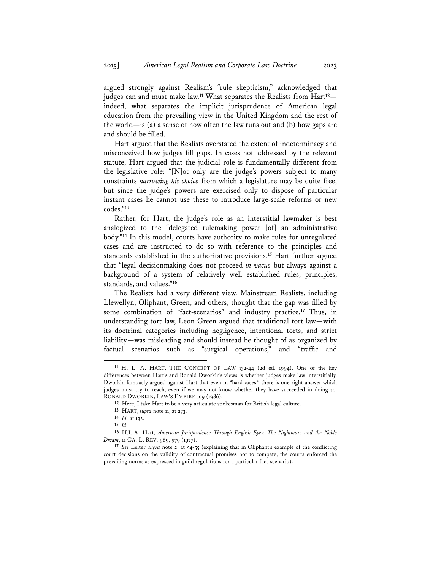argued strongly against Realism's "rule skepticism," acknowledged that judges can and must make law.**<sup>11</sup>** What separates the Realists from Hart**<sup>12</sup>** indeed, what separates the implicit jurisprudence of American legal education from the prevailing view in the United Kingdom and the rest of the world—is (a) a sense of how often the law runs out and (b) how gaps are and should be filled.

Hart argued that the Realists overstated the extent of indeterminacy and misconceived how judges fill gaps. In cases not addressed by the relevant statute, Hart argued that the judicial role is fundamentally different from the legislative role: "[N]ot only are the judge's powers subject to many constraints *narrowing his choice* from which a legislature may be quite free, but since the judge's powers are exercised only to dispose of particular instant cases he cannot use these to introduce large-scale reforms or new codes."**<sup>13</sup>**

Rather, for Hart, the judge's role as an interstitial lawmaker is best analogized to the "delegated rulemaking power [of] an administrative body."**<sup>14</sup>** In this model, courts have authority to make rules for unregulated cases and are instructed to do so with reference to the principles and standards established in the authoritative provisions.**<sup>15</sup>** Hart further argued that "legal decisionmaking does not proceed *in vacuo* but always against a background of a system of relatively well established rules, principles, standards, and values."**<sup>16</sup>**

The Realists had a very different view. Mainstream Realists, including Llewellyn, Oliphant, Green, and others, thought that the gap was filled by some combination of "fact-scenarios" and industry practice.**<sup>17</sup>** Thus, in understanding tort law, Leon Green argued that traditional tort law—with its doctrinal categories including negligence, intentional torts, and strict liability—was misleading and should instead be thought of as organized by factual scenarios such as "surgical operations," and "traffic and

**<sup>11</sup>** H. L. A. HART, THE CONCEPT OF LAW 132-44 (2d ed. 1994). One of the key differences between Hart's and Ronald Dworkin's views is whether judges make law interstitially. Dworkin famously argued against Hart that even in "hard cases," there is one right answer which judges must try to reach, even if we may not know whether they have succeeded in doing so. RONALD DWORKIN, LAW'S EMPIRE 109 (1986).

**<sup>12</sup>** Here, I take Hart to be a very articulate spokesman for British legal culture.

**<sup>13</sup>** HART, *supra* note 11, at 273. **<sup>14</sup>** *Id.* at 132.

**<sup>15</sup>** *Id.*

**<sup>16</sup>** H.L.A. Hart, *American Jurisprudence Through English Eyes: The Nightmare and the Noble Dream*, 11 GA. L. REV. 969, 979 (1977).

**<sup>17</sup>** *See* Leiter, *supra* note 2, at 54-55 (explaining that in Oliphant's example of the conflicting court decisions on the validity of contractual promises not to compete, the courts enforced the prevailing norms as expressed in guild regulations for a particular fact-scenario).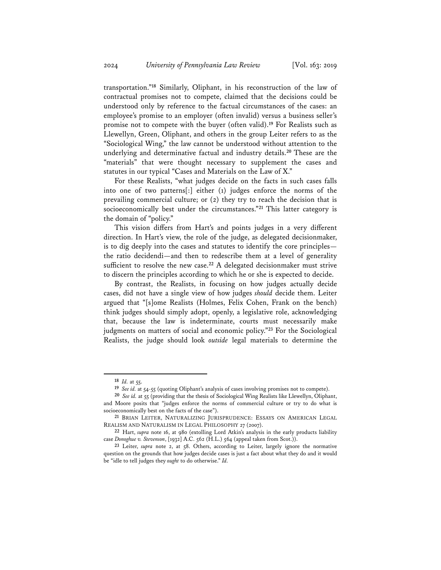transportation."**<sup>18</sup>** Similarly, Oliphant, in his reconstruction of the law of contractual promises not to compete, claimed that the decisions could be understood only by reference to the factual circumstances of the cases: an employee's promise to an employer (often invalid) versus a business seller's promise not to compete with the buyer (often valid).**<sup>19</sup>** For Realists such as Llewellyn, Green, Oliphant, and others in the group Leiter refers to as the "Sociological Wing," the law cannot be understood without attention to the underlying and determinative factual and industry details.**<sup>20</sup>** These are the "materials" that were thought necessary to supplement the cases and statutes in our typical "Cases and Materials on the Law of X."

For these Realists, "what judges decide on the facts in such cases falls into one of two patterns[:] either (1) judges enforce the norms of the prevailing commercial culture; or (2) they try to reach the decision that is socioeconomically best under the circumstances."**<sup>21</sup>** This latter category is the domain of "policy."

This vision differs from Hart's and points judges in a very different direction. In Hart's view, the role of the judge, as delegated decisionmaker, is to dig deeply into the cases and statutes to identify the core principles the ratio decidendi—and then to redescribe them at a level of generality sufficient to resolve the new case.**<sup>22</sup>** A delegated decisionmaker must strive to discern the principles according to which he or she is expected to decide.

By contrast, the Realists, in focusing on how judges actually decide cases, did not have a single view of how judges *should* decide them. Leiter argued that "[s]ome Realists (Holmes, Felix Cohen, Frank on the bench) think judges should simply adopt, openly, a legislative role, acknowledging that, because the law is indeterminate, courts must necessarily make judgments on matters of social and economic policy."**<sup>23</sup>** For the Sociological Realists, the judge should look *outside* legal materials to determine the

**<sup>18</sup>** *Id.* at 55.

**<sup>19</sup>** *See id.* at 54-55 (quoting Oliphant's analysis of cases involving promises not to compete).

**<sup>20</sup>** *See id.* at 55 (providing that the thesis of Sociological Wing Realists like Llewellyn, Oliphant, and Moore posits that "judges enforce the norms of commercial culture or try to do what is socioeconomically best on the facts of the case").

**<sup>21</sup>** BRIAN LEITER, NATURALIZING JURISPRUDENCE: ESSAYS ON AMERICAN LEGAL REALISM AND NATURALISM IN LEGAL PHILOSOPHY 27 (2007).

**<sup>22</sup>** Hart, *supra* note 16, at 980 (extolling Lord Atkin's analysis in the early products liability case *Donoghue v. Stevenson*, [1932] A.C. 562 (H.L.) 564 (appeal taken from Scot.)).

**<sup>23</sup>** Leiter, *supra* note 2, at 58. Others, according to Leiter, largely ignore the normative question on the grounds that how judges decide cases is just a fact about what they do and it would be "idle to tell judges they *ought* to do otherwise." *Id.*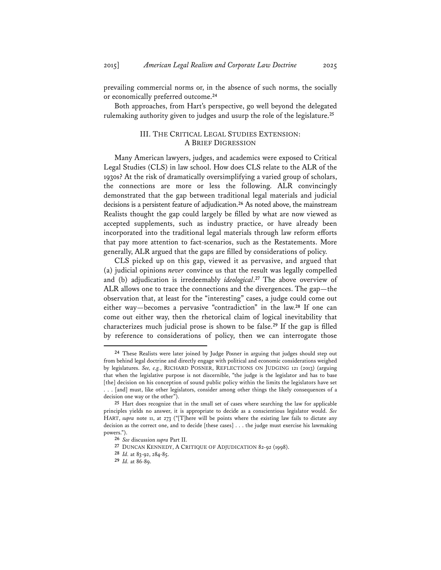prevailing commercial norms or, in the absence of such norms, the socially or economically preferred outcome.**<sup>24</sup>**

Both approaches, from Hart's perspective, go well beyond the delegated rulemaking authority given to judges and usurp the role of the legislature.**<sup>25</sup>**

### III. THE CRITICAL LEGAL STUDIES EXTENSION: A BRIEF DIGRESSION

Many American lawyers, judges, and academics were exposed to Critical Legal Studies (CLS) in law school. How does CLS relate to the ALR of the 1930s? At the risk of dramatically oversimplifying a varied group of scholars, the connections are more or less the following. ALR convincingly demonstrated that the gap between traditional legal materials and judicial decisions is a persistent feature of adjudication.**<sup>26</sup>** As noted above, the mainstream Realists thought the gap could largely be filled by what are now viewed as accepted supplements, such as industry practice, or have already been incorporated into the traditional legal materials through law reform efforts that pay more attention to fact-scenarios, such as the Restatements. More generally, ALR argued that the gaps are filled by considerations of policy.

CLS picked up on this gap, viewed it as pervasive, and argued that (a) judicial opinions *never* convince us that the result was legally compelled and (b) adjudication is irredeemably *ideological*. **<sup>27</sup>** The above overview of ALR allows one to trace the connections and the divergences. The gap—the observation that, at least for the "interesting" cases, a judge could come out either way—becomes a pervasive "contradiction" in the law.**<sup>28</sup>** If one can come out either way, then the rhetorical claim of logical inevitability that characterizes much judicial prose is shown to be false.**<sup>29</sup>** If the gap is filled by reference to considerations of policy, then we can interrogate those

**<sup>24</sup>** These Realists were later joined by Judge Posner in arguing that judges should step out from behind legal doctrine and directly engage with political and economic considerations weighed by legislatures. *See, e.g.*, RICHARD POSNER, REFLECTIONS ON JUDGING 121 (2013) (arguing that when the legislative purpose is not discernible, "the judge is the legislator and has to base [the] decision on his conception of sound public policy within the limits the legislators have set . . . [and] must, like other legislators, consider among other things the likely consequences of a decision one way or the other").

**<sup>25</sup>** Hart does recognize that in the small set of cases where searching the law for applicable principles yields no answer, it is appropriate to decide as a conscientious legislator would. *See* HART, *supra* note 11, at 273 ("[T]here will be points where the existing law fails to dictate any decision as the correct one, and to decide [these cases] . . . the judge must exercise his lawmaking powers.").

**<sup>26</sup>** *See* discussion *supra* Part II.

**<sup>27</sup>** DUNCAN KENNEDY, A CRITIQUE OF ADJUDICATION 82-92 (1998).

**<sup>28</sup>** *Id.* at 83-92, 284-85.

**<sup>29</sup>** *Id.* at 86-89.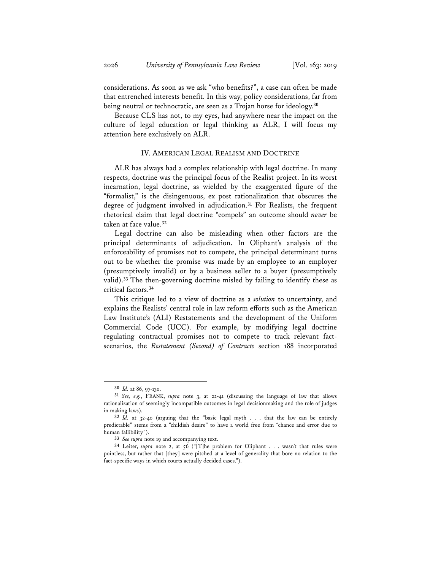considerations. As soon as we ask "who benefits?", a case can often be made that entrenched interests benefit. In this way, policy considerations, far from being neutral or technocratic, are seen as a Trojan horse for ideology.**<sup>30</sup>**

Because CLS has not, to my eyes, had anywhere near the impact on the culture of legal education or legal thinking as ALR, I will focus my attention here exclusively on ALR.

#### IV. AMERICAN LEGAL REALISM AND DOCTRINE

ALR has always had a complex relationship with legal doctrine. In many respects, doctrine was the principal focus of the Realist project. In its worst incarnation, legal doctrine, as wielded by the exaggerated figure of the "formalist," is the disingenuous, ex post rationalization that obscures the degree of judgment involved in adjudication.**<sup>31</sup>** For Realists, the frequent rhetorical claim that legal doctrine "compels" an outcome should *never* be taken at face value.**<sup>32</sup>**

Legal doctrine can also be misleading when other factors are the principal determinants of adjudication. In Oliphant's analysis of the enforceability of promises not to compete, the principal determinant turns out to be whether the promise was made by an employee to an employer (presumptively invalid) or by a business seller to a buyer (presumptively valid).**<sup>33</sup>** The then-governing doctrine misled by failing to identify these as critical factors.**<sup>34</sup>**

This critique led to a view of doctrine as a *solution* to uncertainty, and explains the Realists' central role in law reform efforts such as the American Law Institute's (ALI) Restatements and the development of the Uniform Commercial Code (UCC). For example, by modifying legal doctrine regulating contractual promises not to compete to track relevant factscenarios, the *Restatement (Second) of Contracts* section 188 incorporated

**<sup>30</sup>** *Id.* at 86, 97-130.

**<sup>31</sup>** *See, e.g.*, FRANK, *supra* note 3, at 22-41 (discussing the language of law that allows rationalization of seemingly incompatible outcomes in legal decisionmaking and the role of judges in making laws).

**<sup>32</sup>** *Id.* at 32-40 (arguing that the "basic legal myth . . . that the law can be entirely predictable" stems from a "childish desire" to have a world free from "chance and error due to human fallibility").

**<sup>33</sup>** *See supra* note 19 and accompanying text.

**<sup>34</sup>** Leiter, *supra* note 2, at 56 ("[T]he problem for Oliphant . . . wasn't that rules were pointless, but rather that [they] were pitched at a level of generality that bore no relation to the fact-specific ways in which courts actually decided cases.").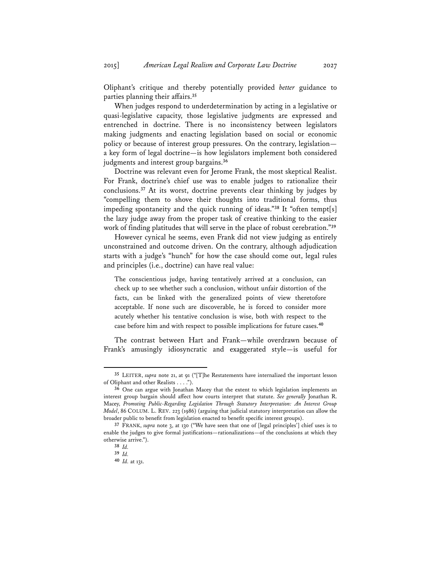Oliphant's critique and thereby potentially provided *better* guidance to parties planning their affairs.**<sup>35</sup>**

When judges respond to underdetermination by acting in a legislative or quasi-legislative capacity, those legislative judgments are expressed and entrenched in doctrine. There is no inconsistency between legislators making judgments and enacting legislation based on social or economic policy or because of interest group pressures. On the contrary, legislation a key form of legal doctrine—is how legislators implement both considered judgments and interest group bargains.**<sup>36</sup>**

Doctrine was relevant even for Jerome Frank, the most skeptical Realist. For Frank, doctrine's chief use was to enable judges to rationalize their conclusions.**<sup>37</sup>** At its worst, doctrine prevents clear thinking by judges by "compelling them to shove their thoughts into traditional forms, thus impeding spontaneity and the quick running of ideas."**<sup>38</sup>** It "often tempt[s] the lazy judge away from the proper task of creative thinking to the easier work of finding platitudes that will serve in the place of robust cerebration."**<sup>39</sup>**

However cynical he seems, even Frank did not view judging as entirely unconstrained and outcome driven. On the contrary, although adjudication starts with a judge's "hunch" for how the case should come out, legal rules and principles (i.e., doctrine) can have real value:

The conscientious judge, having tentatively arrived at a conclusion, can check up to see whether such a conclusion, without unfair distortion of the facts, can be linked with the generalized points of view theretofore acceptable. If none such are discoverable, he is forced to consider more acutely whether his tentative conclusion is wise, both with respect to the case before him and with respect to possible implications for future cases.**<sup>40</sup>**

The contrast between Hart and Frank—while overdrawn because of Frank's amusingly idiosyncratic and exaggerated style—is useful for

**<sup>35</sup>** LEITER, *supra* note 21, at 91 ("[T]he Restatements have internalized the important lesson of Oliphant and other Realists . . . .").

**<sup>36</sup>** One can argue with Jonathan Macey that the extent to which legislation implements an interest group bargain should affect how courts interpret that statute. *See generally* Jonathan R. Macey, *Promoting Public-Regarding Legislation Through Statutory Interpretation: An Interest Group Model*, 86 COLUM. L. REV. 223 (1986) (arguing that judicial statutory interpretation can allow the broader public to benefit from legislation enacted to benefit specific interest groups).

**<sup>37</sup>** FRANK, *supra* note 3, at 130 ("We have seen that one of [legal principles'] chief uses is to enable the judges to give formal justifications—rationalizations—of the conclusions at which they otherwise arrive.").

**<sup>38</sup>** *Id.*

**<sup>39</sup>** *Id.*

**<sup>40</sup>** *Id.* at 131.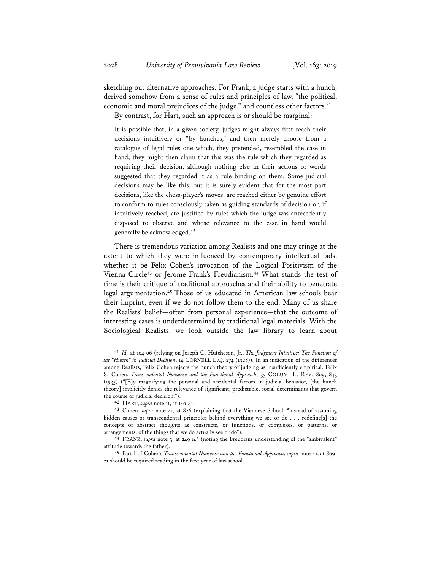sketching out alternative approaches. For Frank, a judge starts with a hunch, derived somehow from a sense of rules and principles of law, "the political, economic and moral prejudices of the judge," and countless other factors.**<sup>41</sup>**

By contrast, for Hart, such an approach is or should be marginal:

It is possible that, in a given society, judges might always first reach their decisions intuitively or "by hunches," and then merely choose from a catalogue of legal rules one which, they pretended, resembled the case in hand; they might then claim that this was the rule which they regarded as requiring their decision, although nothing else in their actions or words suggested that they regarded it as a rule binding on them. Some judicial decisions may be like this, but it is surely evident that for the most part decisions, like the chess-player's moves, are reached either by genuine effort to conform to rules consciously taken as guiding standards of decision or, if intuitively reached, are justified by rules which the judge was antecedently disposed to observe and whose relevance to the case in hand would generally be acknowledged.**<sup>42</sup>**

There is tremendous variation among Realists and one may cringe at the extent to which they were influenced by contemporary intellectual fads, whether it be Felix Cohen's invocation of the Logical Positivism of the Vienna Circle**<sup>43</sup>** or Jerome Frank's Freudianism.**<sup>44</sup>** What stands the test of time is their critique of traditional approaches and their ability to penetrate legal argumentation.**<sup>45</sup>** Those of us educated in American law schools bear their imprint, even if we do not follow them to the end. Many of us share the Realists' belief—often from personal experience—that the outcome of interesting cases is underdetermined by traditional legal materials. With the Sociological Realists, we look outside the law library to learn about

**<sup>41</sup>** *Id.* at 104-06 (relying on Joseph C. Hutcheson, Jr., *The Judgment Intuitive: The Function of the "Hunch" in Judicial Decision*, 14 CORNELL L.Q. 274 (1928)). In an indication of the differences among Realists, Felix Cohen rejects the hunch theory of judging as insufficiently empirical. Felix S. Cohen, *Transcendental Nonsense and the Functional Approach*, 35 COLUM. L. REV. 809, 843 (1935) ("[B]y magnifying the personal and accidental factors in judicial behavior, [the hunch theory] implicitly denies the relevance of significant, predictable, social determinants that govern the course of judicial decision.").

**<sup>42</sup>** HART, *supra* note 11, at 140-41.

**<sup>43</sup>** Cohen, *supra* note 41, at 826 (explaining that the Viennese School, "instead of assuming hidden causes or transcendental principles behind everything we see or do . . . redefine[s] the concepts of abstract thoughts as constructs, or functions, or complexes, or patterns, or

arrangements, of the things that we do actually see or do"). **44** FRANK, *supra* note 3, at 249 n.\* (noting the Freudians understanding of the "ambivalent" attitude towards the father).

**<sup>45</sup>** Part I of Cohen's *Transcendental Nonsense and the Functional Approach*, *supra* note 41, at 809- 21 should be required reading in the first year of law school.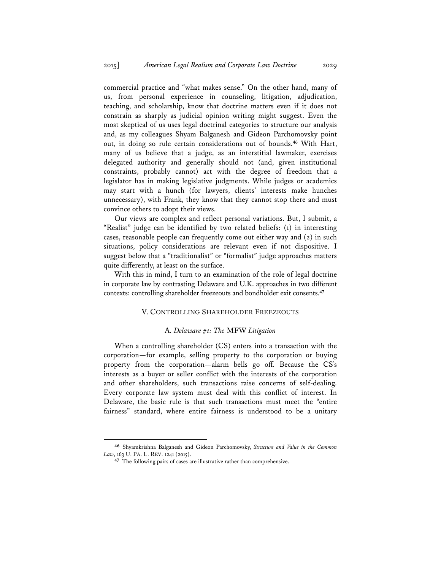commercial practice and "what makes sense." On the other hand, many of us, from personal experience in counseling, litigation, adjudication, teaching, and scholarship, know that doctrine matters even if it does not constrain as sharply as judicial opinion writing might suggest. Even the most skeptical of us uses legal doctrinal categories to structure our analysis and, as my colleagues Shyam Balganesh and Gideon Parchomovsky point out, in doing so rule certain considerations out of bounds.**<sup>46</sup>** With Hart, many of us believe that a judge, as an interstitial lawmaker, exercises delegated authority and generally should not (and, given institutional constraints, probably cannot) act with the degree of freedom that a legislator has in making legislative judgments. While judges or academics may start with a hunch (for lawyers, clients' interests make hunches unnecessary), with Frank, they know that they cannot stop there and must convince others to adopt their views.

Our views are complex and reflect personal variations. But, I submit, a "Realist" judge can be identified by two related beliefs: (1) in interesting cases, reasonable people can frequently come out either way and (2) in such situations, policy considerations are relevant even if not dispositive. I suggest below that a "traditionalist" or "formalist" judge approaches matters quite differently, at least on the surface.

With this in mind, I turn to an examination of the role of legal doctrine in corporate law by contrasting Delaware and U.K. approaches in two different contexts: controlling shareholder freezeouts and bondholder exit consents.**<sup>47</sup>**

### V. CONTROLLING SHAREHOLDER FREEZEOUTS

#### A*. Delaware #1: The* MFW *Litigation*

When a controlling shareholder (CS) enters into a transaction with the corporation—for example, selling property to the corporation or buying property from the corporation—alarm bells go off. Because the CS's interests as a buyer or seller conflict with the interests of the corporation and other shareholders, such transactions raise concerns of self-dealing. Every corporate law system must deal with this conflict of interest. In Delaware, the basic rule is that such transactions must meet the "entire fairness" standard, where entire fairness is understood to be a unitary

**<sup>46</sup>** Shyamkrishna Balganesh and Gideon Parchomovsky, *Structure and Value in the Common Law*, 163 U. PA. L. REV. 1241 (2015).

**<sup>47</sup>** The following pairs of cases are illustrative rather than comprehensive.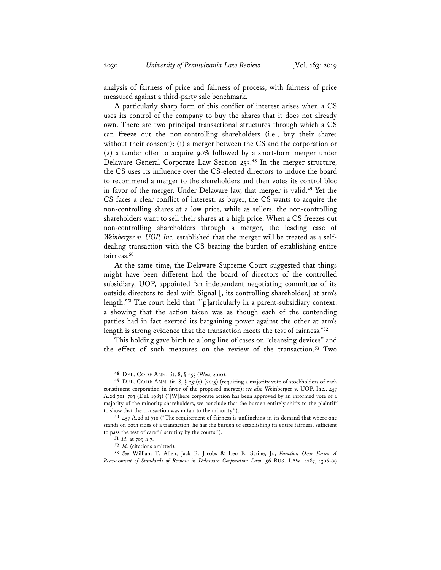analysis of fairness of price and fairness of process, with fairness of price measured against a third-party sale benchmark.

A particularly sharp form of this conflict of interest arises when a CS uses its control of the company to buy the shares that it does not already own. There are two principal transactional structures through which a CS can freeze out the non-controlling shareholders (i.e., buy their shares without their consent): (1) a merger between the CS and the corporation or (2) a tender offer to acquire 90% followed by a short-form merger under Delaware General Corporate Law Section 253.**<sup>48</sup>** In the merger structure, the CS uses its influence over the CS-elected directors to induce the board to recommend a merger to the shareholders and then votes its control bloc in favor of the merger. Under Delaware law, that merger is valid.**<sup>49</sup>** Yet the CS faces a clear conflict of interest: as buyer, the CS wants to acquire the non-controlling shares at a low price, while as sellers, the non-controlling shareholders want to sell their shares at a high price. When a CS freezes out non-controlling shareholders through a merger, the leading case of *Weinberger v. UOP, Inc.* established that the merger will be treated as a selfdealing transaction with the CS bearing the burden of establishing entire fairness.**<sup>50</sup>**

At the same time, the Delaware Supreme Court suggested that things might have been different had the board of directors of the controlled subsidiary, UOP, appointed "an independent negotiating committee of its outside directors to deal with Signal [, its controlling shareholder,] at arm's length."**<sup>51</sup>** The court held that "[p]articularly in a parent-subsidiary context, a showing that the action taken was as though each of the contending parties had in fact exerted its bargaining power against the other at arm's length is strong evidence that the transaction meets the test of fairness."**<sup>52</sup>**

This holding gave birth to a long line of cases on "cleansing devices" and the effect of such measures on the review of the transaction.**<sup>53</sup>** Two

**<sup>48</sup>** DEL. CODE ANN. tit. 8, § 253 (West 2010).

**<sup>49</sup>** DEL. CODE ANN. tit. 8, § 251(c) (2015) (requiring a majority vote of stockholders of each constituent corporation in favor of the proposed merger); *see also* Weinberger v. UOP, Inc., 457 A.2d 701, 703 (Del. 1983) ("[W]here corporate action has been approved by an informed vote of a majority of the minority shareholders, we conclude that the burden entirely shifts to the plaintiff to show that the transaction was unfair to the minority.").

**<sup>50</sup>** 457 A.2d at 710 ("The requirement of fairness is unflinching in its demand that where one stands on both sides of a transaction, he has the burden of establishing its entire fairness, sufficient to pass the test of careful scrutiny by the courts.").

**<sup>51</sup>** *Id.* at 709 n.7.

**<sup>52</sup>** *Id.* (citations omitted).

**<sup>53</sup>** *See* William T. Allen, Jack B. Jacobs & Leo E. Strine, Jr., *Function Over Form: A Reassessment of Standards of Review in Delaware Corporation Law*, 56 BUS. LAW. 1287, 1306-09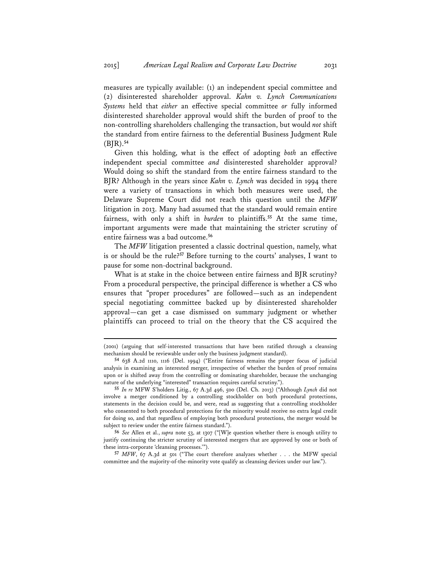measures are typically available: (1) an independent special committee and (2) disinterested shareholder approval. *Kahn v. Lynch Communications Systems* held that *either* an effective special committee *or* fully informed disinterested shareholder approval would shift the burden of proof to the non-controlling shareholders challenging the transaction, but would *not* shift the standard from entire fairness to the deferential Business Judgment Rule (BJR).**<sup>54</sup>**

Given this holding, what is the effect of adopting *both* an effective independent special committee *and* disinterested shareholder approval? Would doing so shift the standard from the entire fairness standard to the BJR? Although in the years since *Kahn v. Lynch* was decided in 1994 there were a variety of transactions in which both measures were used, the Delaware Supreme Court did not reach this question until the *MFW* litigation in 2013. Many had assumed that the standard would remain entire fairness, with only a shift in *burden* to plaintiffs.**<sup>55</sup>** At the same time, important arguments were made that maintaining the stricter scrutiny of entire fairness was a bad outcome.**<sup>56</sup>**

The *MFW* litigation presented a classic doctrinal question, namely, what is or should be the rule?**<sup>57</sup>** Before turning to the courts' analyses, I want to pause for some non-doctrinal background.

What is at stake in the choice between entire fairness and BJR scrutiny? From a procedural perspective, the principal difference is whether a CS who ensures that "proper procedures" are followed—such as an independent special negotiating committee backed up by disinterested shareholder approval—can get a case dismissed on summary judgment or whether plaintiffs can proceed to trial on the theory that the CS acquired the

**.** 

<sup>(2001) (</sup>arguing that self-interested transactions that have been ratified through a cleansing mechanism should be reviewable under only the business judgment standard).

**<sup>54</sup>** 638 A.2d 1110, 1116 (Del. 1994) ("Entire fairness remains the proper focus of judicial analysis in examining an interested merger, irrespective of whether the burden of proof remains upon or is shifted away from the controlling or dominating shareholder, because the unchanging nature of the underlying "interested" transaction requires careful scrutiny.").

**<sup>55</sup>** *In re* MFW S'holders Litig., 67 A.3d 496, 500 (Del. Ch. 2013) ("Although *Lynch* did not involve a merger conditioned by a controlling stockholder on both procedural protections, statements in the decision could be, and were, read as suggesting that a controlling stockholder who consented to both procedural protections for the minority would receive no extra legal credit for doing so, and that regardless of employing both procedural protections, the merger would be subject to review under the entire fairness standard.").

**<sup>56</sup>** *See* Allen et al., *supra* note 53, at 1307 ("[W]e question whether there is enough utility to justify continuing the stricter scrutiny of interested mergers that are approved by one or both of these intra-corporate 'cleansing processes.'").

**<sup>57</sup>** *MFW*, 67 A.3d at 501 ("The court therefore analyzes whether . . . the MFW special committee and the majority-of-the-minority vote qualify as cleansing devices under our law.").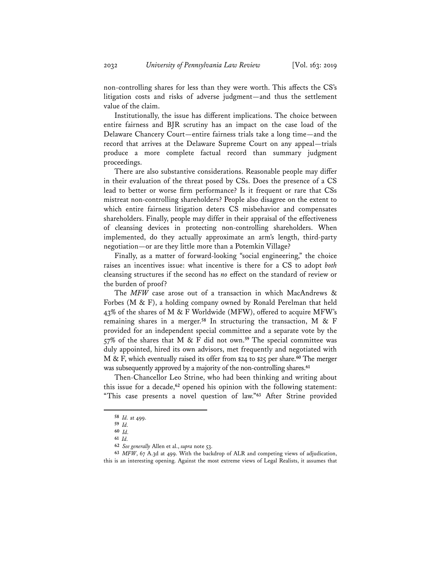non-controlling shares for less than they were worth. This affects the CS's litigation costs and risks of adverse judgment—and thus the settlement value of the claim.

Institutionally, the issue has different implications. The choice between entire fairness and BJR scrutiny has an impact on the case load of the Delaware Chancery Court—entire fairness trials take a long time—and the record that arrives at the Delaware Supreme Court on any appeal—trials produce a more complete factual record than summary judgment proceedings.

There are also substantive considerations. Reasonable people may differ in their evaluation of the threat posed by CSs. Does the presence of a CS lead to better or worse firm performance? Is it frequent or rare that CSs mistreat non-controlling shareholders? People also disagree on the extent to which entire fairness litigation deters CS misbehavior and compensates shareholders. Finally, people may differ in their appraisal of the effectiveness of cleansing devices in protecting non-controlling shareholders. When implemented, do they actually approximate an arm's length, third-party negotiation—or are they little more than a Potemkin Village?

Finally, as a matter of forward-looking "social engineering," the choice raises an incentives issue: what incentive is there for a CS to adopt *both* cleansing structures if the second has *no* effect on the standard of review or the burden of proof?

The *MFW* case arose out of a transaction in which MacAndrews & Forbes (M & F), a holding company owned by Ronald Perelman that held 43% of the shares of M & F Worldwide (MFW), offered to acquire MFW's remaining shares in a merger.**<sup>58</sup>** In structuring the transaction, M & F provided for an independent special committee and a separate vote by the 57% of the shares that M & F did not own.**<sup>59</sup>** The special committee was duly appointed, hired its own advisors, met frequently and negotiated with M & F, which eventually raised its offer from \$24 to \$25 per share.**<sup>60</sup>** The merger was subsequently approved by a majority of the non-controlling shares.**<sup>61</sup>**

Then-Chancellor Leo Strine, who had been thinking and writing about this issue for a decade,**<sup>62</sup>** opened his opinion with the following statement: "This case presents a novel question of law."**<sup>63</sup>** After Strine provided

**<sup>58</sup>** *Id.* at 499.

**<sup>59</sup>** *Id.*

**<sup>60</sup>** *Id.*

**<sup>61</sup>** *Id.*

**<sup>62</sup>** *See generally* Allen et al., *supra* note 53.

**<sup>63</sup>** *MFW*, 67 A.3d at 499. With the backdrop of ALR and competing views of adjudication, this is an interesting opening. Against the most extreme views of Legal Realists, it assumes that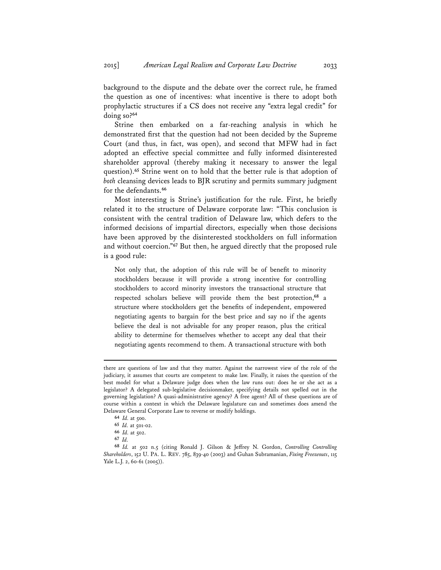background to the dispute and the debate over the correct rule, he framed the question as one of incentives: what incentive is there to adopt both prophylactic structures if a CS does not receive any "extra legal credit" for doing so?**<sup>64</sup>**

Strine then embarked on a far-reaching analysis in which he demonstrated first that the question had not been decided by the Supreme Court (and thus, in fact, was open), and second that MFW had in fact adopted an effective special committee and fully informed disinterested shareholder approval (thereby making it necessary to answer the legal question).**<sup>65</sup>** Strine went on to hold that the better rule is that adoption of *both* cleansing devices leads to BJR scrutiny and permits summary judgment for the defendants.**<sup>66</sup>**

Most interesting is Strine's justification for the rule. First, he briefly related it to the structure of Delaware corporate law: "This conclusion is consistent with the central tradition of Delaware law, which defers to the informed decisions of impartial directors, especially when those decisions have been approved by the disinterested stockholders on full information and without coercion."**<sup>67</sup>** But then, he argued directly that the proposed rule is a good rule:

Not only that, the adoption of this rule will be of benefit to minority stockholders because it will provide a strong incentive for controlling stockholders to accord minority investors the transactional structure that respected scholars believe will provide them the best protection,**68** a structure where stockholders get the benefits of independent, empowered negotiating agents to bargain for the best price and say no if the agents believe the deal is not advisable for any proper reason, plus the critical ability to determine for themselves whether to accept any deal that their negotiating agents recommend to them. A transactional structure with both

 $\overline{\phantom{a}}$ 

there are questions of law and that they matter. Against the narrowest view of the role of the judiciary, it assumes that courts are competent to make law. Finally, it raises the question of the best model for what a Delaware judge does when the law runs out: does he or she act as a legislator? A delegated sub-legislative decisionmaker, specifying details not spelled out in the governing legislation? A quasi-administrative agency? A free agent? All of these questions are of course within a context in which the Delaware legislature can and sometimes does amend the Delaware General Corporate Law to reverse or modify holdings.

**<sup>64</sup>** *Id.* at 500.

**<sup>65</sup>** *Id.* at 501-02.

**<sup>66</sup>** *Id.* at 502.

**<sup>67</sup>** *Id.* 

**<sup>68</sup>** *Id.* at 502 n.5 (citing Ronald J. Gilson & Jeffrey N. Gordon, *Controlling Controlling Shareholders*, 152 U. PA. L. REV. 785, 839-40 (2003) and Guhan Subramanian, *Fixing Freezeouts*, 115 Yale L.J. 2, 60-61 (2005)).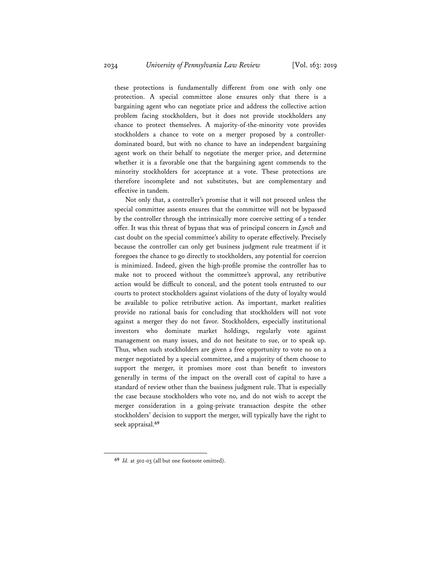these protections is fundamentally different from one with only one protection. A special committee alone ensures only that there is a bargaining agent who can negotiate price and address the collective action problem facing stockholders, but it does not provide stockholders any chance to protect themselves. A majority-of-the-minority vote provides stockholders a chance to vote on a merger proposed by a controllerdominated board, but with no chance to have an independent bargaining agent work on their behalf to negotiate the merger price, and determine whether it is a favorable one that the bargaining agent commends to the minority stockholders for acceptance at a vote. These protections are therefore incomplete and not substitutes, but are complementary and effective in tandem.

Not only that, a controller's promise that it will not proceed unless the special committee assents ensures that the committee will not be bypassed by the controller through the intrinsically more coercive setting of a tender offer. It was this threat of bypass that was of principal concern in *Lynch* and cast doubt on the special committee's ability to operate effectively. Precisely because the controller can only get business judgment rule treatment if it foregoes the chance to go directly to stockholders, any potential for coercion is minimized. Indeed, given the high-profile promise the controller has to make not to proceed without the committee's approval, any retributive action would be difficult to conceal, and the potent tools entrusted to our courts to protect stockholders against violations of the duty of loyalty would be available to police retributive action. As important, market realities provide no rational basis for concluding that stockholders will not vote against a merger they do not favor. Stockholders, especially institutional investors who dominate market holdings, regularly vote against management on many issues, and do not hesitate to sue, or to speak up. Thus, when such stockholders are given a free opportunity to vote no on a merger negotiated by a special committee, and a majority of them choose to support the merger, it promises more cost than benefit to investors generally in terms of the impact on the overall cost of capital to have a standard of review other than the business judgment rule. That is especially the case because stockholders who vote no, and do not wish to accept the merger consideration in a going-private transaction despite the other stockholders' decision to support the merger, will typically have the right to seek appraisal.**<sup>69</sup>**

**<sup>69</sup>** *Id.* at 502-03 (all but one footnote omitted).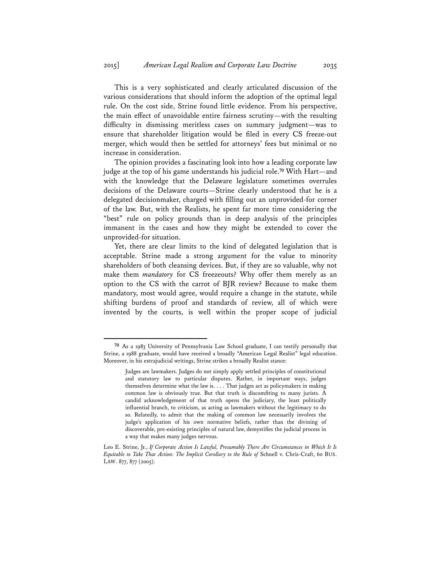This is a very sophisticated and clearly articulated discussion of the various considerations that should inform the adoption of the optimal legal rule. On the cost side, Strine found little evidence. From his perspective, the main effect of unavoidable entire fairness scrutiny—with the resulting difficulty in dismissing meritless cases on summary judgment—was to ensure that shareholder litigation would be filed in every CS freeze-out merger, which would then be settled for attorneys' fees but minimal or no increase in consideration.

The opinion provides a fascinating look into how a leading corporate law judge at the top of his game understands his judicial role.**<sup>70</sup>** With Hart—and with the knowledge that the Delaware legislature sometimes overrules decisions of the Delaware courts—Strine clearly understood that he is a delegated decisionmaker, charged with filling out an unprovided-for corner of the law. But, with the Realists, he spent far more time considering the "best" rule on policy grounds than in deep analysis of the principles immanent in the cases and how they might be extended to cover the unprovided-for situation.

Yet, there are clear limits to the kind of delegated legislation that is acceptable. Strine made a strong argument for the value to minority shareholders of both cleansing devices. But, if they are so valuable, why not make them *mandatory* for CS freezeouts? Why offer them merely as an option to the CS with the carrot of BJR review? Because to make them mandatory, most would agree, would require a change in the statute, while shifting burdens of proof and standards of review, all of which were invented by the courts, is well within the proper scope of judicial

**<sup>70</sup>** As a 1983 University of Pennsylvania Law School graduate, I can testify personally that Strine, a 1988 graduate, would have received a broadly "American Legal Realist" legal education. Moreover, in his extrajudicial writings, Strine strikes a broadly Realist stance:

Judges are lawmakers. Judges do not simply apply settled principles of constitutional and statutory law to particular disputes. Rather, in important ways, judges themselves determine what the law is. . . . That judges act as policymakers in making common law is obviously true. But that truth is discomfiting to many jurists. A candid acknowledgement of that truth opens the judiciary, the least politically influential branch, to criticism, as acting as lawmakers without the legitimacy to do so. Relatedly, to admit that the making of common law necessarily involves the judge's application of his own normative beliefs, rather than the divining of discoverable, pre-existing principles of natural law, demystifies the judicial process in a way that makes many judges nervous.

Leo E. Strine, Jr., *If Corporate Action Is Lawful, Presumably There Are Circumstances in Which It Is Equitable to Take That Action: The Implicit Corollary to the Rule of* Schnell v. Chris-Craft, 60 BUS. LAW. 877, 877 (2005).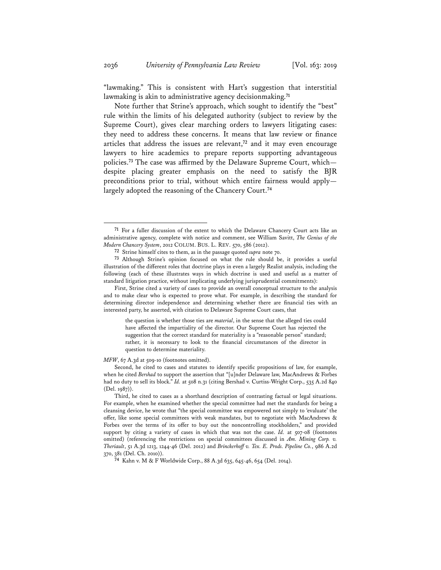"lawmaking." This is consistent with Hart's suggestion that interstitial lawmaking is akin to administrative agency decisionmaking.**<sup>71</sup>**

Note further that Strine's approach, which sought to identify the "best" rule within the limits of his delegated authority (subject to review by the Supreme Court), gives clear marching orders to lawyers litigating cases: they need to address these concerns. It means that law review or finance articles that address the issues are relevant,**<sup>72</sup>** and it may even encourage lawyers to hire academics to prepare reports supporting advantageous policies.**<sup>73</sup>** The case was affirmed by the Delaware Supreme Court, which despite placing greater emphasis on the need to satisfy the BJR preconditions prior to trial, without which entire fairness would apply largely adopted the reasoning of the Chancery Court.**<sup>74</sup>**

the question is whether those ties are *material*, in the sense that the alleged ties could have affected the impartiality of the director. Our Supreme Court has rejected the suggestion that the correct standard for materiality is a "reasonable person" standard; rather, it is necessary to look to the financial circumstances of the director in question to determine materiality.

#### *MFW*, 67 A.3d at 509-10 (footnotes omitted).

**<sup>74</sup>** Kahn v. M & F Worldwide Corp., 88 A.3d 635, 645-46, 654 (Del. 2014).

**<sup>71</sup>** For a fuller discussion of the extent to which the Delaware Chancery Court acts like an administrative agency, complete with notice and comment, see William Savitt, *The Genius of the Modern Chancery System*, 2012 COLUM. BUS. L. REV. 570, 586 (2012).

**<sup>72</sup>** Strine himself cites to them, as in the passage quoted *supra* note 70.

**<sup>73</sup>** Although Strine's opinion focused on what the rule should be, it provides a useful illustration of the different roles that doctrine plays in even a largely Realist analysis, including the following (each of these illustrates ways in which doctrine is used and useful as a matter of standard litigation practice, without implicating underlying jurisprudential commitments):

First, Strine cited a variety of cases to provide an overall conceptual structure to the analysis and to make clear who is expected to prove what. For example, in describing the standard for determining director independence and determining whether there are financial ties with an interested party, he asserted, with citation to Delaware Supreme Court cases, that

Second, he cited to cases and statutes to identify specific propositions of law, for example, when he cited *Bershad* to support the assertion that "[u]nder Delaware law, MacAndrews & Forbes had no duty to sell its block." *Id.* at 508 n.31 (citing Bershad v. Curtiss-Wright Corp., 535 A.2d 840 (Del. 1987)).

Third, he cited to cases as a shorthand description of contrasting factual or legal situations. For example, when he examined whether the special committee had met the standards for being a cleansing device, he wrote that "the special committee was empowered not simply to 'evaluate' the offer, like some special committees with weak mandates, but to negotiate with MacAndrews & Forbes over the terms of its offer to buy out the noncontrolling stockholders," and provided support by citing a variety of cases in which that was not the case. *Id.* at 507-08 (footnotes omitted) (referencing the restrictions on special committees discussed in *Am. Mining Corp. v. Theriault*, 51 A.3d 1213, 1244-46 (Del. 2012) and *Brinckerhoff v. Tex. E. Prods. Pipeline Co.*, 986 A.2d 370, 381 (Del. Ch. 2010)).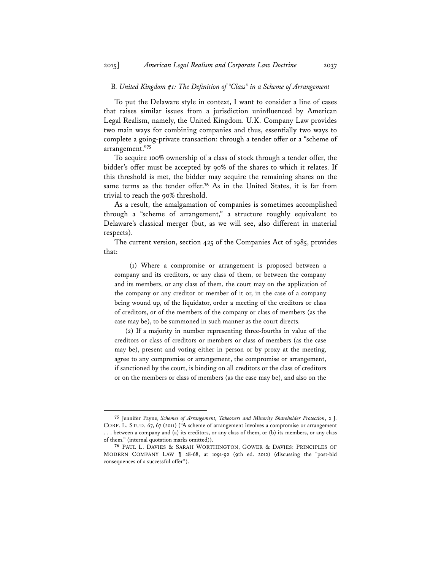### B*. United Kingdom #1: The Definition of "Class" in a Scheme of Arrangement*

To put the Delaware style in context, I want to consider a line of cases that raises similar issues from a jurisdiction uninfluenced by American Legal Realism, namely, the United Kingdom. U.K. Company Law provides two main ways for combining companies and thus, essentially two ways to complete a going-private transaction: through a tender offer or a "scheme of arrangement."**<sup>75</sup>**

To acquire 100% ownership of a class of stock through a tender offer, the bidder's offer must be accepted by 90% of the shares to which it relates. If this threshold is met, the bidder may acquire the remaining shares on the same terms as the tender offer.**<sup>76</sup>** As in the United States, it is far from trivial to reach the 90% threshold.

As a result, the amalgamation of companies is sometimes accomplished through a "scheme of arrangement," a structure roughly equivalent to Delaware's classical merger (but, as we will see, also different in material respects).

The current version, section 425 of the Companies Act of 1985, provides that:

 (1) Where a compromise or arrangement is proposed between a company and its creditors, or any class of them, or between the company and its members, or any class of them, the court may on the application of the company or any creditor or member of it or, in the case of a company being wound up, of the liquidator, order a meeting of the creditors or class of creditors, or of the members of the company or class of members (as the case may be), to be summoned in such manner as the court directs.

(2) If a majority in number representing three-fourths in value of the creditors or class of creditors or members or class of members (as the case may be), present and voting either in person or by proxy at the meeting, agree to any compromise or arrangement, the compromise or arrangement, if sanctioned by the court, is binding on all creditors or the class of creditors or on the members or class of members (as the case may be), and also on the

**<sup>75</sup>** Jennifer Payne, *Schemes of Arrangement, Takeovers and Minority Shareholder Protection*, 2 J. CORP. L. STUD. 67, 67 (2011) ("A scheme of arrangement involves a compromise or arrangement . . . between a company and (a) its creditors, or any class of them, or (b) its members, or any class of them." (internal quotation marks omitted)).

**<sup>76</sup>** PAUL L. DAVIES & SARAH WORTHINGTON, GOWER & DAVIES: PRINCIPLES OF MODERN COMPANY LAW ¶ 28-68, at 1091-92 (9th ed. 2012) (discussing the "post-bid consequences of a successful offer").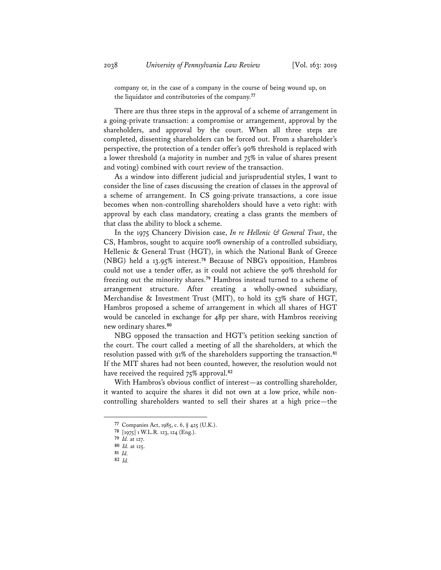company or, in the case of a company in the course of being wound up, on the liquidator and contributories of the company.**<sup>77</sup>**

There are thus three steps in the approval of a scheme of arrangement in a going-private transaction: a compromise or arrangement, approval by the shareholders, and approval by the court. When all three steps are completed, dissenting shareholders can be forced out. From a shareholder's perspective, the protection of a tender offer's 90% threshold is replaced with a lower threshold (a majority in number and 75% in value of shares present and voting) combined with court review of the transaction.

As a window into different judicial and jurisprudential styles, I want to consider the line of cases discussing the creation of classes in the approval of a scheme of arrangement. In CS going-private transactions, a core issue becomes when non-controlling shareholders should have a veto right: with approval by each class mandatory, creating a class grants the members of that class the ability to block a scheme.

In the 1975 Chancery Division case, *In re Hellenic & General Trust*, the CS, Hambros, sought to acquire 100% ownership of a controlled subsidiary, Hellenic & General Trust (HGT), in which the National Bank of Greece (NBG) held a 13.95% interest.**<sup>78</sup>** Because of NBG's opposition, Hambros could not use a tender offer, as it could not achieve the 90% threshold for freezing out the minority shares.**<sup>79</sup>** Hambros instead turned to a scheme of arrangement structure. After creating a wholly-owned subsidiary, Merchandise & Investment Trust (MIT), to hold its 53% share of HGT, Hambros proposed a scheme of arrangement in which all shares of HGT would be canceled in exchange for 48p per share, with Hambros receiving new ordinary shares.**<sup>80</sup>**

NBG opposed the transaction and HGT's petition seeking sanction of the court. The court called a meeting of all the shareholders, at which the resolution passed with 91% of the shareholders supporting the transaction.**<sup>81</sup>** If the MIT shares had not been counted, however, the resolution would not have received the required 75% approval.**<sup>82</sup>**

With Hambros's obvious conflict of interest—as controlling shareholder, it wanted to acquire the shares it did not own at a low price, while noncontrolling shareholders wanted to sell their shares at a high price—the

**<sup>77</sup>** Companies Act, 1985, c. 6, § 425 (U.K.).

**<sup>78</sup>** [1975] 1 W.L.R. 123, 124 (Eng.).

**<sup>79</sup>** *Id.* at 127.

**<sup>80</sup>** *Id.* at 125.

**<sup>81</sup>** *Id.*

**<sup>82</sup>** *Id.*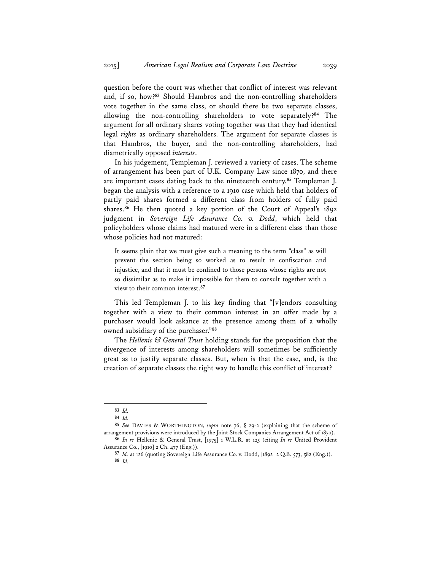question before the court was whether that conflict of interest was relevant and, if so, how?**<sup>83</sup>** Should Hambros and the non-controlling shareholders vote together in the same class, or should there be two separate classes, allowing the non-controlling shareholders to vote separately?**<sup>84</sup>** The argument for all ordinary shares voting together was that they had identical legal *rights* as ordinary shareholders. The argument for separate classes is that Hambros, the buyer, and the non-controlling shareholders, had diametrically opposed *interests*.

In his judgement, Templeman J. reviewed a variety of cases. The scheme of arrangement has been part of U.K. Company Law since 1870, and there are important cases dating back to the nineteenth century.**<sup>85</sup>** Templeman J. began the analysis with a reference to a 1910 case which held that holders of partly paid shares formed a different class from holders of fully paid shares.**<sup>86</sup>** He then quoted a key portion of the Court of Appeal's 1892 judgment in *Sovereign Life Assurance Co. v. Dodd*, which held that policyholders whose claims had matured were in a different class than those whose policies had not matured:

It seems plain that we must give such a meaning to the term "class" as will prevent the section being so worked as to result in confiscation and injustice, and that it must be confined to those persons whose rights are not so dissimilar as to make it impossible for them to consult together with a view to their common interest.**<sup>87</sup>**

This led Templeman J. to his key finding that "[v]endors consulting together with a view to their common interest in an offer made by a purchaser would look askance at the presence among them of a wholly owned subsidiary of the purchaser."**<sup>88</sup>**

The *Hellenic & General Trust* holding stands for the proposition that the divergence of interests among shareholders will sometimes be sufficiently great as to justify separate classes. But, when is that the case, and, is the creation of separate classes the right way to handle this conflict of interest?

**<sup>84</sup>** *Id.* **<sup>85</sup>** *See* DAVIES & WORTHINGTON, *supra* note 76, § 29-2 (explaining that the scheme of arrangement provisions were introduced by the Joint Stock Companies Arrangement Act of 1870).

**<sup>83</sup>** *Id.*

**<sup>86</sup>** *In re* Hellenic & General Trust, [1975] 1 W.L.R. at 125 (citing *In re* United Provident Assurance Co., [1910] 2 Ch. 477 (Eng.)).

**<sup>87</sup>** *Id.* at 126 (quoting Sovereign Life Assurance Co. v. Dodd, [1892] 2 Q.B. 573, 582 (Eng.)). **<sup>88</sup>** *Id.*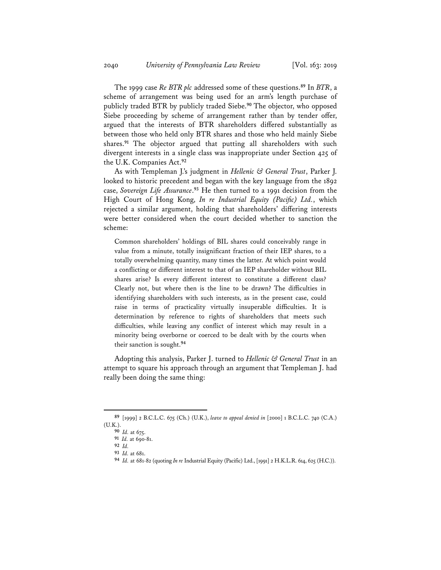The 1999 case *Re BTR plc* addressed some of these questions.**<sup>89</sup>** In *BTR*, a scheme of arrangement was being used for an arm's length purchase of publicly traded BTR by publicly traded Siebe.**<sup>90</sup>** The objector, who opposed Siebe proceeding by scheme of arrangement rather than by tender offer, argued that the interests of BTR shareholders differed substantially as between those who held only BTR shares and those who held mainly Siebe shares.**<sup>91</sup>** The objector argued that putting all shareholders with such divergent interests in a single class was inappropriate under Section 425 of the U.K. Companies Act.**<sup>92</sup>**

As with Templeman J.'s judgment in *Hellenic & General Trust*, Parker J. looked to historic precedent and began with the key language from the 1892 case, *Sovereign Life Assurance*. **<sup>93</sup>** He then turned to a 1991 decision from the High Court of Hong Kong, *In re Industrial Equity (Pacific) Ltd.*, which rejected a similar argument, holding that shareholders' differing interests were better considered when the court decided whether to sanction the scheme:

Common shareholders' holdings of BIL shares could conceivably range in value from a minute, totally insignificant fraction of their IEP shares, to a totally overwhelming quantity, many times the latter. At which point would a conflicting or different interest to that of an IEP shareholder without BIL shares arise? Is every different interest to constitute a different class? Clearly not, but where then is the line to be drawn? The difficulties in identifying shareholders with such interests, as in the present case, could raise in terms of practicality virtually insuperable difficulties. It is determination by reference to rights of shareholders that meets such difficulties, while leaving any conflict of interest which may result in a minority being overborne or coerced to be dealt with by the courts when their sanction is sought.**<sup>94</sup>**

Adopting this analysis, Parker J. turned to *Hellenic & General Trust* in an attempt to square his approach through an argument that Templeman J. had really been doing the same thing:

**<sup>89</sup>** [1999] 2 B.C.L.C. 675 (Ch.) (U.K.), *leave to appeal denied in* [2000] 1 B.C.L.C. 740 (C.A.) (U.K.).

**<sup>90</sup>** *Id.* at 675.

**<sup>91</sup>** *Id.* at 690-81.

**<sup>92</sup>** *Id.*

**<sup>93</sup>** *Id.* at 681.

**<sup>94</sup>** *Id.* at 681-82 (quoting *In re* Industrial Equity (Pacific) Ltd., [1991] 2 H.K.L.R. 614, 625 (H.C.)).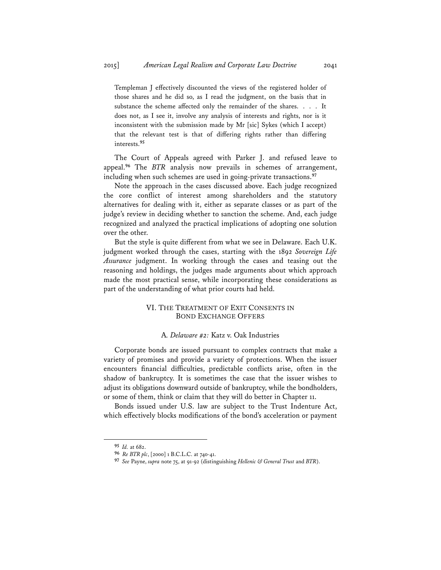Templeman J effectively discounted the views of the registered holder of those shares and he did so, as I read the judgment, on the basis that in substance the scheme affected only the remainder of the shares. . . . It does not, as I see it, involve any analysis of interests and rights, nor is it inconsistent with the submission made by Mr [sic] Sykes (which I accept) that the relevant test is that of differing rights rather than differing interests.**<sup>95</sup>**

The Court of Appeals agreed with Parker J. and refused leave to appeal.**<sup>96</sup>** The *BTR* analysis now prevails in schemes of arrangement, including when such schemes are used in going-private transactions.**<sup>97</sup>**

Note the approach in the cases discussed above. Each judge recognized the core conflict of interest among shareholders and the statutory alternatives for dealing with it, either as separate classes or as part of the judge's review in deciding whether to sanction the scheme. And, each judge recognized and analyzed the practical implications of adopting one solution over the other.

But the style is quite different from what we see in Delaware. Each U.K. judgment worked through the cases, starting with the 1892 *Sovereign Life Assurance* judgment. In working through the cases and teasing out the reasoning and holdings, the judges made arguments about which approach made the most practical sense, while incorporating these considerations as part of the understanding of what prior courts had held.

### VI. THE TREATMENT OF EXIT CONSENTS IN BOND EXCHANGE OFFERS

### A*. Delaware #2:* Katz v. Oak Industries

Corporate bonds are issued pursuant to complex contracts that make a variety of promises and provide a variety of protections. When the issuer encounters financial difficulties, predictable conflicts arise, often in the shadow of bankruptcy. It is sometimes the case that the issuer wishes to adjust its obligations downward outside of bankruptcy, while the bondholders, or some of them, think or claim that they will do better in Chapter 11.

Bonds issued under U.S. law are subject to the Trust Indenture Act, which effectively blocks modifications of the bond's acceleration or payment

**<sup>95</sup>** *Id.* at 682.

**<sup>96</sup>** *Re BTR plc*, [2000] 1 B.C.L.C. at 740-41.

**<sup>97</sup>** *See* Payne, *supra* note 75, at 91-92 (distinguishing *Hellenic & General Trust* and *BTR*).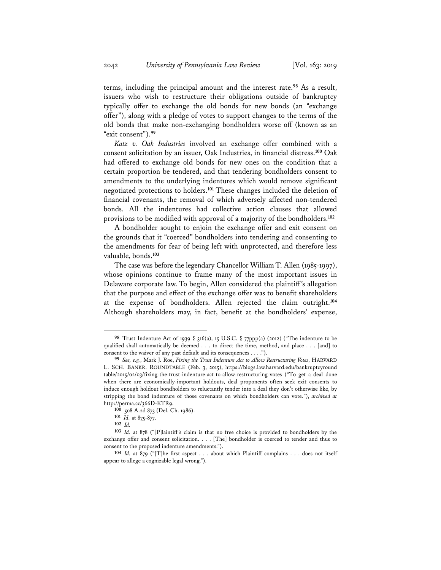terms, including the principal amount and the interest rate.**<sup>98</sup>** As a result, issuers who wish to restructure their obligations outside of bankruptcy typically offer to exchange the old bonds for new bonds (an "exchange offer"), along with a pledge of votes to support changes to the terms of the old bonds that make non-exchanging bondholders worse off (known as an "exit consent").**<sup>99</sup>**

*Katz v. Oak Industries* involved an exchange offer combined with a consent solicitation by an issuer, Oak Industries, in financial distress.**<sup>100</sup>** Oak had offered to exchange old bonds for new ones on the condition that a certain proportion be tendered, and that tendering bondholders consent to amendments to the underlying indentures which would remove significant negotiated protections to holders.**<sup>101</sup>** These changes included the deletion of financial covenants, the removal of which adversely affected non-tendered bonds. All the indentures had collective action clauses that allowed provisions to be modified with approval of a majority of the bondholders.**<sup>102</sup>**

A bondholder sought to enjoin the exchange offer and exit consent on the grounds that it "coerced" bondholders into tendering and consenting to the amendments for fear of being left with unprotected, and therefore less valuable, bonds.**<sup>103</sup>**

The case was before the legendary Chancellor William T. Allen (1985-1997), whose opinions continue to frame many of the most important issues in Delaware corporate law. To begin, Allen considered the plaintiff's allegation that the purpose and effect of the exchange offer was to benefit shareholders at the expense of bondholders. Allen rejected the claim outright.**<sup>104</sup>** Although shareholders may, in fact, benefit at the bondholders' expense,

**<sup>98</sup>** Trust Indenture Act of 1939 § 316(a), 15 U.S.C. § 77ppp(a) (2012) ("The indenture to be qualified shall automatically be deemed . . . to direct the time, method, and place . . . [and] to consent to the waiver of any past default and its consequences . . . .").

**<sup>99</sup>** *See, e.g.*, Mark J. Roe, *Fixing the Trust Indenture Act to Allow Restructuring Votes*, HARVARD L. SCH. BANKR. ROUNDTABLE (Feb. 3, 2015), https://blogs.law.harvard.edu/bankruptcyround table/2015/02/03/fixing-the-trust-indenture-act-to-allow-restructuring-votes ("To get a deal done when there are economically-important holdouts, deal proponents often seek exit consents to induce enough holdout bondholders to reluctantly tender into a deal they don't otherwise like, by stripping the bond indenture of those covenants on which bondholders can vote."), *archived at* http://perma.cc/366D-KTR9.

**<sup>100</sup>** 508 A.2d 873 (Del. Ch. 1986).

**<sup>101</sup>** *Id.* at 875-877.

**<sup>102</sup>** *Id.* **<sup>103</sup>** *Id.* at 878 ("[P]laintiff's claim is that no free choice is provided to bondholders by the exchange offer and consent solicitation. . . . [The] bondholder is coerced to tender and thus to consent to the proposed indenture amendments.").

**<sup>104</sup>** *Id.* at 879 ("[T]he first aspect . . . about which Plaintiff complains . . . does not itself appear to allege a cognizable legal wrong.").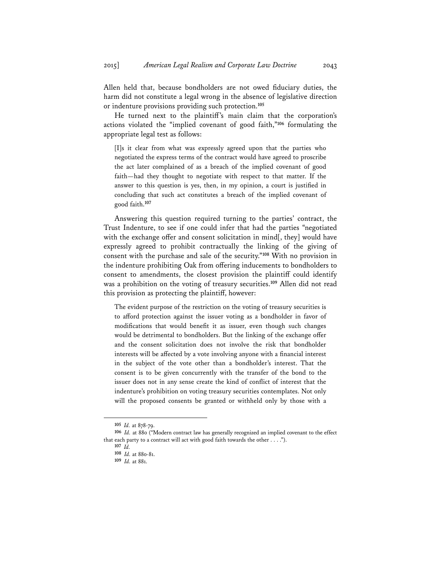Allen held that, because bondholders are not owed fiduciary duties, the harm did not constitute a legal wrong in the absence of legislative direction or indenture provisions providing such protection.**<sup>105</sup>**

He turned next to the plaintiff's main claim that the corporation's actions violated the "implied covenant of good faith,"**<sup>106</sup>** formulating the appropriate legal test as follows:

[I]s it clear from what was expressly agreed upon that the parties who negotiated the express terms of the contract would have agreed to proscribe the act later complained of as a breach of the implied covenant of good faith—had they thought to negotiate with respect to that matter. If the answer to this question is yes, then, in my opinion, a court is justified in concluding that such act constitutes a breach of the implied covenant of good faith.**<sup>107</sup>**

Answering this question required turning to the parties' contract, the Trust Indenture, to see if one could infer that had the parties "negotiated with the exchange offer and consent solicitation in mind[, they] would have expressly agreed to prohibit contractually the linking of the giving of consent with the purchase and sale of the security."**<sup>108</sup>** With no provision in the indenture prohibiting Oak from offering inducements to bondholders to consent to amendments, the closest provision the plaintiff could identify was a prohibition on the voting of treasury securities.**<sup>109</sup>** Allen did not read this provision as protecting the plaintiff, however:

The evident purpose of the restriction on the voting of treasury securities is to afford protection against the issuer voting as a bondholder in favor of modifications that would benefit it as issuer, even though such changes would be detrimental to bondholders. But the linking of the exchange offer and the consent solicitation does not involve the risk that bondholder interests will be affected by a vote involving anyone with a financial interest in the subject of the vote other than a bondholder's interest. That the consent is to be given concurrently with the transfer of the bond to the issuer does not in any sense create the kind of conflict of interest that the indenture's prohibition on voting treasury securities contemplates. Not only will the proposed consents be granted or withheld only by those with a

**<sup>105</sup>** *Id.* at 878-79.

**<sup>106</sup>** *Id.* at 880 ("Modern contract law has generally recognized an implied covenant to the effect that each party to a contract will act with good faith towards the other . . . .").  $107$  *Id*.

**<sup>107</sup>** *Id.* **<sup>108</sup>** *Id.* at 880-81.

**<sup>109</sup>** *Id.* at 881.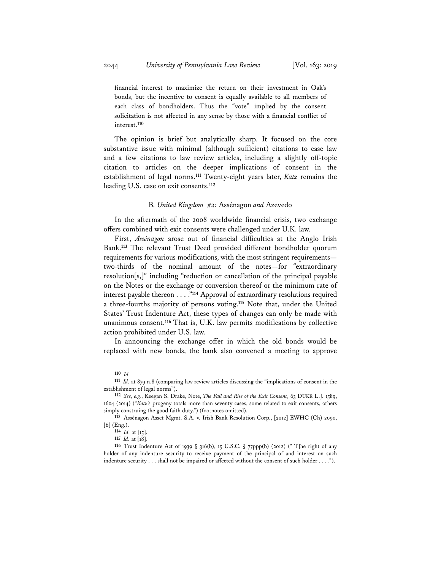financial interest to maximize the return on their investment in Oak's bonds, but the incentive to consent is equally available to all members of each class of bondholders. Thus the "vote" implied by the consent solicitation is not affected in any sense by those with a financial conflict of interest.**<sup>110</sup>**

The opinion is brief but analytically sharp. It focused on the core substantive issue with minimal (although sufficient) citations to case law and a few citations to law review articles, including a slightly off-topic citation to articles on the deeper implications of consent in the establishment of legal norms.**<sup>111</sup>** Twenty-eight years later, *Katz* remains the leading U.S. case on exit consents.**<sup>112</sup>**

#### B*. United Kingdom #2:* Assénagon *and* Azevedo

In the aftermath of the 2008 worldwide financial crisis, two exchange offers combined with exit consents were challenged under U.K. law.

First, *Assénagon* arose out of financial difficulties at the Anglo Irish Bank.**<sup>113</sup>** The relevant Trust Deed provided different bondholder quorum requirements for various modifications, with the most stringent requirements two-thirds of the nominal amount of the notes—for "extraordinary resolution[s,]" including "reduction or cancellation of the principal payable on the Notes or the exchange or conversion thereof or the minimum rate of interest payable thereon . . . ."**<sup>114</sup>** Approval of extraordinary resolutions required a three-fourths majority of persons voting.**<sup>115</sup>** Note that, under the United States' Trust Indenture Act, these types of changes can only be made with unanimous consent.**<sup>116</sup>** That is, U.K. law permits modifications by collective action prohibited under U.S. law.

In announcing the exchange offer in which the old bonds would be replaced with new bonds, the bank also convened a meeting to approve

**<sup>110</sup>** *Id.* **<sup>111</sup>** *Id.* at 879 n.8 (comparing law review articles discussing the "implications of consent in the establishment of legal norms").

**<sup>112</sup>** *See, e.g.*, Keegan S. Drake, Note, *The Fall and Rise of the Exit Consent*, 63 DUKE L.J. 1589, 1604 (2014) ("*Katz*'s progeny totals more than seventy cases, some related to exit consents, others simply construing the good faith duty.") (footnotes omitted).

**<sup>113</sup>** Assénagon Asset Mgmt. S.A. v. Irish Bank Resolution Corp., [2012] EWHC (Ch) 2090, [6] (Eng.). **<sup>114</sup>** *Id.* at [15].

**<sup>115</sup>** *Id.* at [18].

**<sup>116</sup>** Trust Indenture Act of 1939 § 316(b), 15 U.S.C. § 77ppp(b) (2012) ("[T]he right of any holder of any indenture security to receive payment of the principal of and interest on such indenture security . . . shall not be impaired or affected without the consent of such holder . . . .").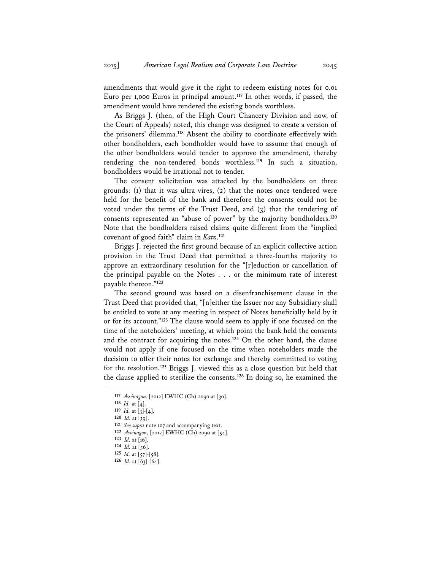amendments that would give it the right to redeem existing notes for 0.01 Euro per 1,000 Euros in principal amount.**<sup>117</sup>** In other words, if passed, the amendment would have rendered the existing bonds worthless.

As Briggs J. (then, of the High Court Chancery Division and now, of the Court of Appeals) noted, this change was designed to create a version of the prisoners' dilemma.**<sup>118</sup>** Absent the ability to coordinate effectively with other bondholders, each bondholder would have to assume that enough of the other bondholders would tender to approve the amendment, thereby rendering the non-tendered bonds worthless.**<sup>119</sup>** In such a situation, bondholders would be irrational not to tender.

The consent solicitation was attacked by the bondholders on three grounds: (1) that it was ultra vires, (2) that the notes once tendered were held for the benefit of the bank and therefore the consents could not be voted under the terms of the Trust Deed, and (3) that the tendering of consents represented an "abuse of power" by the majority bondholders.**<sup>120</sup>** Note that the bondholders raised claims quite different from the "implied covenant of good faith" claim in *Katz*. **121**

Briggs J. rejected the first ground because of an explicit collective action provision in the Trust Deed that permitted a three-fourths majority to approve an extraordinary resolution for the "[r]eduction or cancellation of the principal payable on the Notes . . . or the minimum rate of interest payable thereon."**<sup>122</sup>**

The second ground was based on a disenfranchisement clause in the Trust Deed that provided that, "[n]either the Issuer nor any Subsidiary shall be entitled to vote at any meeting in respect of Notes beneficially held by it or for its account."**<sup>123</sup>** The clause would seem to apply if one focused on the time of the noteholders' meeting, at which point the bank held the consents and the contract for acquiring the notes.**<sup>124</sup>** On the other hand, the clause would not apply if one focused on the time when noteholders made the decision to offer their notes for exchange and thereby committed to voting for the resolution.**<sup>125</sup>** Briggs J. viewed this as a close question but held that the clause applied to sterilize the consents.**<sup>126</sup>** In doing so, he examined the

**<sup>117</sup>** *Assénagon*, [2012] EWHC (Ch) 2090 at [30].

**<sup>118</sup>** *Id.* at [4].

**<sup>119</sup>** *Id.* at [3]-[4].

**<sup>120</sup>** *Id.* at [39].

**<sup>121</sup>** *See supra* note 107 and accompanying text.

**<sup>122</sup>** *Assénagon*, [2012] EWHC (Ch) 2090 at [54].

**<sup>123</sup>** *Id.* at [16].

**<sup>124</sup>** *Id.* at [56].

**<sup>125</sup>** *Id.* at [57]-[58].

**<sup>126</sup>** *Id.* at [63]-[64].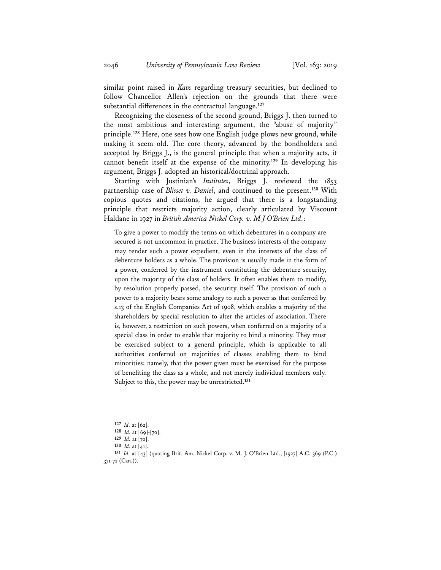similar point raised in *Katz* regarding treasury securities, but declined to follow Chancellor Allen's rejection on the grounds that there were substantial differences in the contractual language.**<sup>127</sup>**

Recognizing the closeness of the second ground, Briggs J. then turned to the most ambitious and interesting argument, the "abuse of majority" principle.**<sup>128</sup>** Here, one sees how one English judge plows new ground, while making it seem old. The core theory, advanced by the bondholders and accepted by Briggs J., is the general principle that when a majority acts, it cannot benefit itself at the expense of the minority.**<sup>129</sup>** In developing his argument, Briggs J. adopted an historical/doctrinal approach.

Starting with Justinian's *Institutes*, Briggs J. reviewed the 1853 partnership case of *Blisset v. Daniel*, and continued to the present.**<sup>130</sup>** With copious quotes and citations, he argued that there is a longstanding principle that restricts majority action, clearly articulated by Viscount Haldane in 1927 in *British America Nickel Corp. v. M J O'Brien Ltd.*:

To give a power to modify the terms on which debentures in a company are secured is not uncommon in practice. The business interests of the company may render such a power expedient, even in the interests of the class of debenture holders as a whole. The provision is usually made in the form of a power, conferred by the instrument constituting the debenture security, upon the majority of the class of holders. It often enables them to modify, by resolution properly passed, the security itself. The provision of such a power to a majority bears some analogy to such a power as that conferred by s.13 of the English Companies Act of 1908, which enables a majority of the shareholders by special resolution to alter the articles of association. There is, however, a restriction on such powers, when conferred on a majority of a special class in order to enable that majority to bind a minority. They must be exercised subject to a general principle, which is applicable to all authorities conferred on majorities of classes enabling them to bind minorities; namely, that the power given must be exercised for the purpose of benefiting the class as a whole, and not merely individual members only. Subject to this, the power may be unrestricted.**<sup>131</sup>**

**<sup>127</sup>** *Id.* at [62].

**<sup>128</sup>** *Id.* at [69]-[70].

**<sup>129</sup>** *Id.* at [70].

**<sup>130</sup>** *Id.* at [41].

**<sup>131</sup>** *Id.* at [43] (quoting Brit. Am. Nickel Corp. v. M. J. O'Brien Ltd., [1927] A.C. 369 (P.C.) 371-72 (Can.)).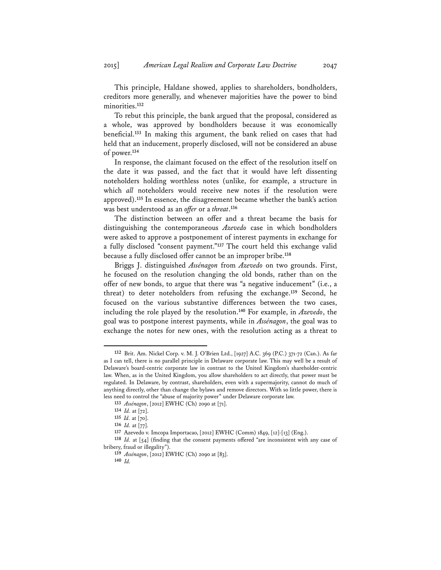This principle, Haldane showed, applies to shareholders, bondholders, creditors more generally, and whenever majorities have the power to bind minorities.**<sup>132</sup>**

To rebut this principle, the bank argued that the proposal, considered as a whole, was approved by bondholders because it was economically beneficial.**<sup>133</sup>** In making this argument, the bank relied on cases that had held that an inducement, properly disclosed, will not be considered an abuse of power.**<sup>134</sup>**

In response, the claimant focused on the effect of the resolution itself on the date it was passed, and the fact that it would have left dissenting noteholders holding worthless notes (unlike, for example, a structure in which *all* noteholders would receive new notes if the resolution were approved).**<sup>135</sup>** In essence, the disagreement became whether the bank's action was best understood as an *offer* or a *threat*. **136**

The distinction between an offer and a threat became the basis for distinguishing the contemporaneous *Azevedo* case in which bondholders were asked to approve a postponement of interest payments in exchange for a fully disclosed "consent payment."**<sup>137</sup>** The court held this exchange valid because a fully disclosed offer cannot be an improper bribe.**<sup>138</sup>**

Briggs J. distinguished *Assénagon* from *Azevedo* on two grounds. First, he focused on the resolution changing the old bonds, rather than on the offer of new bonds, to argue that there was "a negative inducement" (i.e., a threat) to deter noteholders from refusing the exchange.**<sup>139</sup>** Second, he focused on the various substantive differences between the two cases, including the role played by the resolution.**<sup>140</sup>** For example, in *Azevedo*, the goal was to postpone interest payments, while in *Assénagon*, the goal was to exchange the notes for new ones, with the resolution acting as a threat to

**<sup>132</sup>** Brit. Am. Nickel Corp. v. M. J. O'Brien Ltd., [1927] A.C. 369 (P.C.) 371-72 (Can.). As far as I can tell, there is no parallel principle in Delaware corporate law. This may well be a result of Delaware's board-centric corporate law in contrast to the United Kingdom's shareholder-centric law. When, as in the United Kingdom, you allow shareholders to act directly, that power must be regulated. In Delaware, by contrast, shareholders, even with a supermajority, cannot do much of anything directly, other than change the bylaws and remove directors. With so little power, there is less need to control the "abuse of majority power" under Delaware corporate law.

**<sup>133</sup>** *Assénagon*, [2012] EWHC (Ch) 2090 at [71].

**<sup>134</sup>** *Id.* at [72].

**<sup>135</sup>** *Id.* at [70].

**<sup>136</sup>** *Id.* at [77].

**<sup>137</sup>** Azevedo v. Imcopa Importacao, [2012] EWHC (Comm) 1849, [12]-[13] (Eng.).

**<sup>138</sup>** *Id.* at [54] (finding that the consent payments offered "are inconsistent with any case of bribery, fraud or illegality").

**<sup>139</sup>** *Assénagon*, [2012] EWHC (Ch) 2090 at [83].

**<sup>140</sup>** *Id.*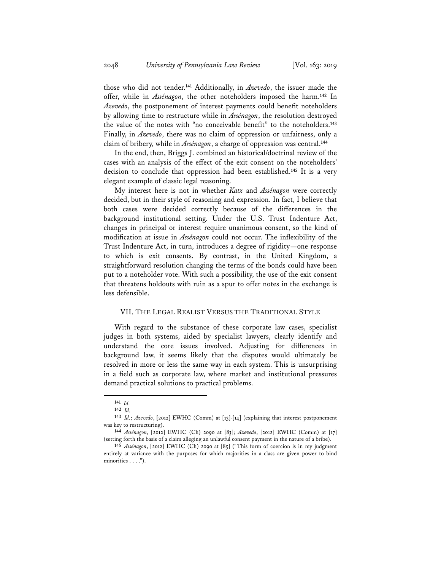those who did not tender.**<sup>141</sup>** Additionally, in *Azevedo*, the issuer made the offer, while in *Assénagon*, the other noteholders imposed the harm.**<sup>142</sup>** In *Azevedo*, the postponement of interest payments could benefit noteholders by allowing time to restructure while in *Assénagon*, the resolution destroyed the value of the notes with "no conceivable benefit" to the noteholders.**<sup>143</sup>** Finally, in *Azevedo*, there was no claim of oppression or unfairness, only a claim of bribery, while in *Assénagon*, a charge of oppression was central.**<sup>144</sup>**

In the end, then, Briggs J. combined an historical/doctrinal review of the cases with an analysis of the effect of the exit consent on the noteholders' decision to conclude that oppression had been established.**<sup>145</sup>** It is a very elegant example of classic legal reasoning.

My interest here is not in whether *Katz* and *Assénagon* were correctly decided, but in their style of reasoning and expression. In fact, I believe that both cases were decided correctly because of the differences in the background institutional setting. Under the U.S. Trust Indenture Act, changes in principal or interest require unanimous consent, so the kind of modification at issue in *Assénagon* could not occur. The inflexibility of the Trust Indenture Act, in turn, introduces a degree of rigidity—one response to which is exit consents. By contrast, in the United Kingdom, a straightforward resolution changing the terms of the bonds could have been put to a noteholder vote. With such a possibility, the use of the exit consent that threatens holdouts with ruin as a spur to offer notes in the exchange is less defensible.

### VII. THE LEGAL REALIST VERSUS THE TRADITIONAL STYLE

With regard to the substance of these corporate law cases, specialist judges in both systems, aided by specialist lawyers, clearly identify and understand the core issues involved. Adjusting for differences in background law, it seems likely that the disputes would ultimately be resolved in more or less the same way in each system. This is unsurprising in a field such as corporate law, where market and institutional pressures demand practical solutions to practical problems.

**<sup>141</sup>** *Id.*

**<sup>142</sup>** *Id.*

**<sup>143</sup>** *Id.*; *Azevedo*, [2012] EWHC (Comm) at [13]-[14] (explaining that interest postponement was key to restructuring). **<sup>144</sup>** *Assénagon*, [2012] EWHC (Ch) 2090 at [83]; *Azevedo*, [2012] EWHC (Comm) at [17]

<sup>(</sup>setting forth the basis of a claim alleging an unlawful consent payment in the nature of a bribe).

**<sup>145</sup>** *Assénagon*, [2012] EWHC (Ch) 2090 at [85] ("This form of coercion is in my judgment entirely at variance with the purposes for which majorities in a class are given power to bind minorities . . . .").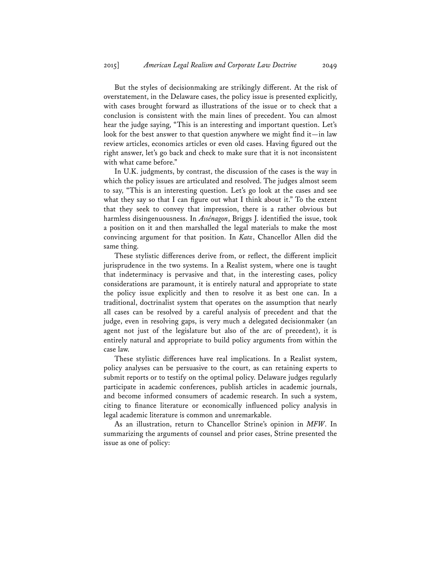But the styles of decisionmaking are strikingly different. At the risk of overstatement, in the Delaware cases, the policy issue is presented explicitly, with cases brought forward as illustrations of the issue or to check that a conclusion is consistent with the main lines of precedent. You can almost hear the judge saying, "This is an interesting and important question. Let's look for the best answer to that question anywhere we might find it—in law review articles, economics articles or even old cases. Having figured out the right answer, let's go back and check to make sure that it is not inconsistent with what came before."

In U.K. judgments, by contrast, the discussion of the cases is the way in which the policy issues are articulated and resolved. The judges almost seem to say, "This is an interesting question. Let's go look at the cases and see what they say so that I can figure out what I think about it." To the extent that they seek to convey that impression, there is a rather obvious but harmless disingenuousness. In *Assénagon*, Briggs J. identified the issue, took a position on it and then marshalled the legal materials to make the most convincing argument for that position. In *Katz*, Chancellor Allen did the same thing.

These stylistic differences derive from, or reflect, the different implicit jurisprudence in the two systems. In a Realist system, where one is taught that indeterminacy is pervasive and that, in the interesting cases, policy considerations are paramount, it is entirely natural and appropriate to state the policy issue explicitly and then to resolve it as best one can. In a traditional, doctrinalist system that operates on the assumption that nearly all cases can be resolved by a careful analysis of precedent and that the judge, even in resolving gaps, is very much a delegated decisionmaker (an agent not just of the legislature but also of the arc of precedent), it is entirely natural and appropriate to build policy arguments from within the case law.

These stylistic differences have real implications. In a Realist system, policy analyses can be persuasive to the court, as can retaining experts to submit reports or to testify on the optimal policy. Delaware judges regularly participate in academic conferences, publish articles in academic journals, and become informed consumers of academic research. In such a system, citing to finance literature or economically influenced policy analysis in legal academic literature is common and unremarkable.

As an illustration, return to Chancellor Strine's opinion in *MFW*. In summarizing the arguments of counsel and prior cases, Strine presented the issue as one of policy: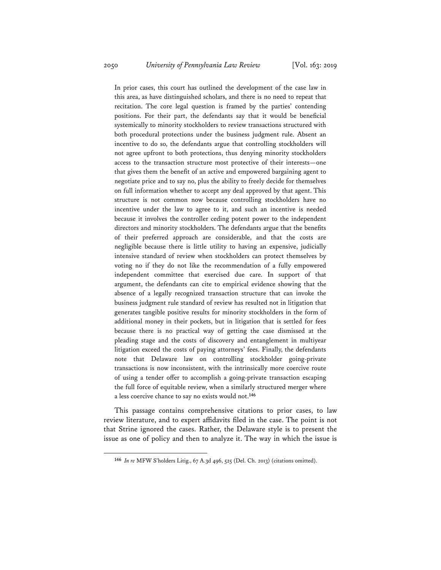In prior cases, this court has outlined the development of the case law in this area, as have distinguished scholars, and there is no need to repeat that recitation. The core legal question is framed by the parties' contending positions. For their part, the defendants say that it would be beneficial systemically to minority stockholders to review transactions structured with both procedural protections under the business judgment rule. Absent an incentive to do so, the defendants argue that controlling stockholders will not agree upfront to both protections, thus denying minority stockholders access to the transaction structure most protective of their interests—one that gives them the benefit of an active and empowered bargaining agent to negotiate price and to say no, plus the ability to freely decide for themselves on full information whether to accept any deal approved by that agent. This structure is not common now because controlling stockholders have no incentive under the law to agree to it, and such an incentive is needed because it involves the controller ceding potent power to the independent directors and minority stockholders. The defendants argue that the benefits of their preferred approach are considerable, and that the costs are negligible because there is little utility to having an expensive, judicially intensive standard of review when stockholders can protect themselves by voting no if they do not like the recommendation of a fully empowered independent committee that exercised due care. In support of that argument, the defendants can cite to empirical evidence showing that the absence of a legally recognized transaction structure that can invoke the business judgment rule standard of review has resulted not in litigation that generates tangible positive results for minority stockholders in the form of additional money in their pockets, but in litigation that is settled for fees because there is no practical way of getting the case dismissed at the pleading stage and the costs of discovery and entanglement in multiyear litigation exceed the costs of paying attorneys' fees. Finally, the defendants note that Delaware law on controlling stockholder going-private transactions is now inconsistent, with the intrinsically more coercive route of using a tender offer to accomplish a going-private transaction escaping the full force of equitable review, when a similarly structured merger where a less coercive chance to say no exists would not.**<sup>146</sup>**

This passage contains comprehensive citations to prior cases, to law review literature, and to expert affidavits filed in the case. The point is not that Strine ignored the cases. Rather, the Delaware style is to present the issue as one of policy and then to analyze it. The way in which the issue is

**<sup>146</sup>** *In re* MFW S'holders Litig., 67 A.3d 496, 525 (Del. Ch. 2013) (citations omitted).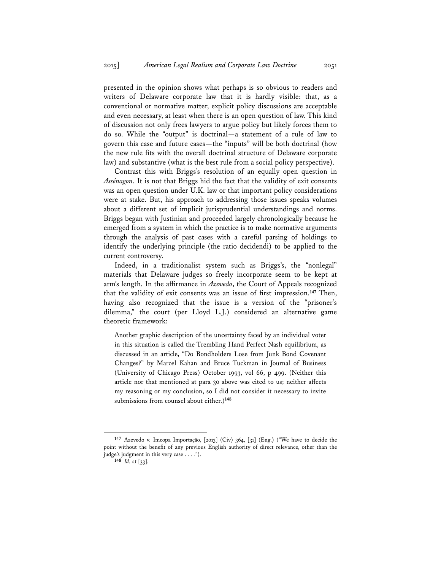presented in the opinion shows what perhaps is so obvious to readers and writers of Delaware corporate law that it is hardly visible: that, as a conventional or normative matter, explicit policy discussions are acceptable and even necessary, at least when there is an open question of law. This kind of discussion not only frees lawyers to argue policy but likely forces them to do so. While the "output" is doctrinal—a statement of a rule of law to govern this case and future cases—the "inputs" will be both doctrinal (how the new rule fits with the overall doctrinal structure of Delaware corporate law) and substantive (what is the best rule from a social policy perspective).

Contrast this with Briggs's resolution of an equally open question in *Assénagon*. It is not that Briggs hid the fact that the validity of exit consents was an open question under U.K. law or that important policy considerations were at stake. But, his approach to addressing those issues speaks volumes about a different set of implicit jurisprudential understandings and norms. Briggs began with Justinian and proceeded largely chronologically because he emerged from a system in which the practice is to make normative arguments through the analysis of past cases with a careful parsing of holdings to identify the underlying principle (the ratio decidendi) to be applied to the current controversy.

Indeed, in a traditionalist system such as Briggs's, the "nonlegal" materials that Delaware judges so freely incorporate seem to be kept at arm's length. In the affirmance in *Azevedo*, the Court of Appeals recognized that the validity of exit consents was an issue of first impression.**<sup>147</sup>** Then, having also recognized that the issue is a version of the "prisoner's dilemma," the court (per Lloyd L.J.) considered an alternative game theoretic framework:

Another graphic description of the uncertainty faced by an individual voter in this situation is called the Trembling Hand Perfect Nash equilibrium, as discussed in an article, "Do Bondholders Lose from Junk Bond Covenant Changes?" by Marcel Kahan and Bruce Tuckman in Journal of Business (University of Chicago Press) October 1993, vol 66, p 499. (Neither this article nor that mentioned at para 30 above was cited to us; neither affects my reasoning or my conclusion, so I did not consider it necessary to invite submissions from counsel about either.)**<sup>148</sup>**

**<sup>147</sup>** Azevedo v. Imcopa Importação, [2013] (Civ) 364, [31] (Eng.) ("We have to decide the point without the benefit of any previous English authority of direct relevance, other than the judge's judgment in this very case . . . .").

**<sup>148</sup>** *Id.* at [33].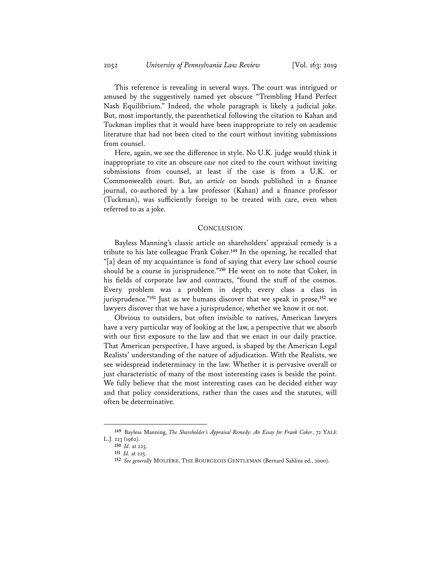This reference is revealing in several ways. The court was intrigued or amused by the suggestively named yet obscure "Trembling Hand Perfect Nash Equilibrium." Indeed, the whole paragraph is likely a judicial joke. But, most importantly, the parenthetical following the citation to Kahan and Tuckman implies that it would have been inappropriate to rely on academic literature that had not been cited to the court without inviting submissions from counsel.

Here, again, we see the difference in style. No U.K. judge would think it inappropriate to cite an obscure *case* not cited to the court without inviting submissions from counsel, at least if the case is from a U.K. or Commonwealth court. But, an *article* on bonds published in a finance journal, co-authored by a law professor (Kahan) and a finance professor (Tuckman), was sufficiently foreign to be treated with care, even when referred to as a joke.

#### **CONCLUSION**

Bayless Manning's classic article on shareholders' appraisal remedy is a tribute to his late colleague Frank Coker.**<sup>149</sup>** In the opening, he recalled that "[a] dean of my acquaintance is fond of saying that every law school course should be a course in jurisprudence."**<sup>150</sup>** He went on to note that Coker, in his fields of corporate law and contracts, "found the stuff of the cosmos. Every problem was a problem in depth; every class a class in jurisprudence."**<sup>151</sup>** Just as we humans discover that we speak in prose,**<sup>152</sup>** we lawyers discover that we have a jurisprudence, whether we know it or not.

Obvious to outsiders, but often invisible to natives, American lawyers have a very particular way of looking at the law, a perspective that we absorb with our first exposure to the law and that we enact in our daily practice. That American perspective, I have argued, is shaped by the American Legal Realists' understanding of the nature of adjudication. With the Realists, we see widespread indeterminacy in the law. Whether it is pervasive overall or just characteristic of many of the most interesting cases is beside the point. We fully believe that the most interesting cases can be decided either way and that policy considerations, rather than the cases and the statutes, will often be determinative.

**<sup>149</sup>** Bayless Manning, *The Shareholder's Appraisal Remedy: An Essay for Frank Coker*, 72 YALE L.J. 223 (1962). **<sup>150</sup>** *Id.* at 223.

**<sup>151</sup>** *Id.* at 225.

**<sup>152</sup>** *See generally* MOLIÈRE, THE BOURGEOIS GENTLEMAN (Bernard Sahlins ed., 2000).